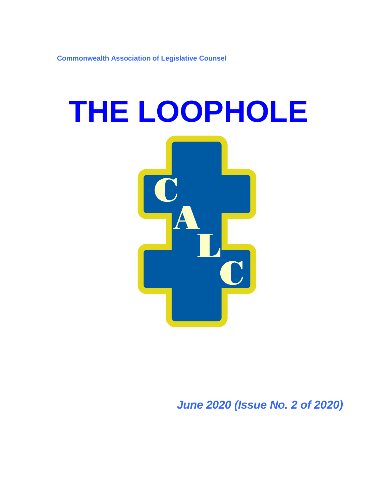**Commonwealth Association of Legislative Counsel**

# **THE LOOPHOLE**

*June 2020 (Issue No. 2 of 2020)*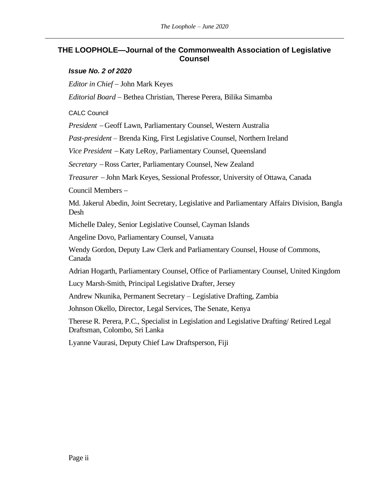### **THE LOOPHOLE—Journal of the Commonwealth Association of Legislative Counsel**

### *Issue No. 2 of 2020*

*Editor in Chief* − John Mark Keyes

*Editorial Board* − Bethea Christian, Therese Perera, Bilika Simamba

CALC Council

*President* <sup>−</sup> Geoff Lawn, Parliamentary Counsel, Western Australia

*Past-president –* Brenda King, First Legislative Counsel, Northern Ireland

*Vice President* <sup>−</sup> Katy LeRoy, Parliamentary Counsel, Queensland

*Secretary* <sup>−</sup> Ross Carter, Parliamentary Counsel, New Zealand

*Treasurer* <sup>−</sup> John Mark Keyes, Sessional Professor, University of Ottawa, Canada

Council Members −

Md. Jakerul Abedin, Joint Secretary, Legislative and Parliamentary Affairs Division, Bangla Desh

Michelle Daley, Senior Legislative Counsel, Cayman Islands

Angeline Dovo, Parliamentary Counsel, Vanuata

Wendy Gordon, Deputy Law Clerk and Parliamentary Counsel, House of Commons, Canada

Adrian Hogarth, Parliamentary Counsel, Office of Parliamentary Counsel, United Kingdom

Lucy Marsh-Smith, Principal Legislative Drafter, Jersey

Andrew Nkunika, Permanent Secretary – Legislative Drafting, Zambia

Johnson Okello, Director, Legal Services, The Senate, Kenya

Therese R. Perera, P.C., Specialist in Legislation and Legislative Drafting/ Retired Legal Draftsman, Colombo, Sri Lanka

Lyanne Vaurasi, Deputy Chief Law Draftsperson, Fiji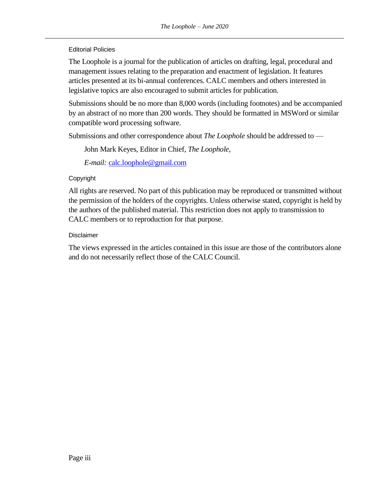Editorial Policies

The Loophole is a journal for the publication of articles on drafting, legal, procedural and management issues relating to the preparation and enactment of legislation. It features articles presented at its bi-annual conferences. CALC members and others interested in legislative topics are also encouraged to submit articles for publication.

Submissions should be no more than 8,000 words (including footnotes) and be accompanied by an abstract of no more than 200 words. They should be formatted in MSWord or similar compatible word processing software.

Submissions and other correspondence about *The Loophole* should be addressed to —

John Mark Keyes, Editor in Chief, *The Loophole*,

*E-mail:* [calc.loophole@gmail.com](mailto:calc.loophole@gmail.com)

### Copyright

All rights are reserved. No part of this publication may be reproduced or transmitted without the permission of the holders of the copyrights. Unless otherwise stated, copyright is held by the authors of the published material. This restriction does not apply to transmission to CALC members or to reproduction for that purpose.

### Disclaimer

The views expressed in the articles contained in this issue are those of the contributors alone and do not necessarily reflect those of the CALC Council.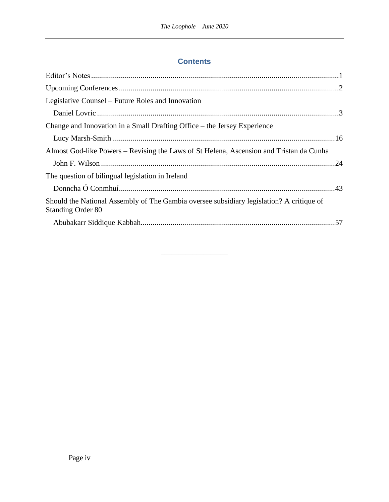## **Contents**

| Legislative Counsel – Future Roles and Innovation                                                                    |  |
|----------------------------------------------------------------------------------------------------------------------|--|
|                                                                                                                      |  |
| Change and Innovation in a Small Drafting Office – the Jersey Experience                                             |  |
|                                                                                                                      |  |
| Almost God-like Powers – Revising the Laws of St Helena, Ascension and Tristan da Cunha                              |  |
|                                                                                                                      |  |
| The question of bilingual legislation in Ireland                                                                     |  |
|                                                                                                                      |  |
| Should the National Assembly of The Gambia oversee subsidiary legislation? A critique of<br><b>Standing Order 80</b> |  |
|                                                                                                                      |  |

\_\_\_\_\_\_\_\_\_\_\_\_\_\_\_\_\_\_\_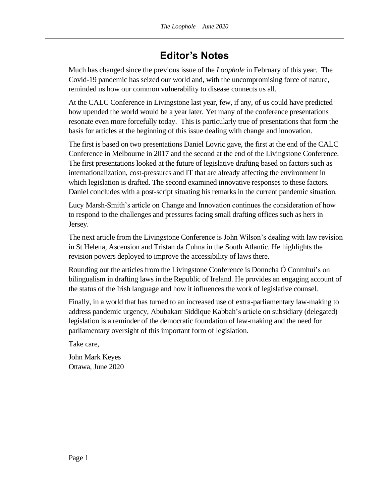# **Editor's Notes**

<span id="page-4-0"></span>Much has changed since the previous issue of the *Loophole* in February of this year. The Covid-19 pandemic has seized our world and, with the uncompromising force of nature, reminded us how our common vulnerability to disease connects us all.

At the CALC Conference in Livingstone last year, few, if any, of us could have predicted how upended the world would be a year later. Yet many of the conference presentations resonate even more forcefully today. This is particularly true of presentations that form the basis for articles at the beginning of this issue dealing with change and innovation.

The first is based on two presentations Daniel Lovric gave, the first at the end of the CALC Conference in Melbourne in 2017 and the second at the end of the Livingstone Conference. The first presentations looked at the future of legislative drafting based on factors such as internationalization, cost-pressures and IT that are already affecting the environment in which legislation is drafted. The second examined innovative responses to these factors. Daniel concludes with a post-script situating his remarks in the current pandemic situation.

Lucy Marsh-Smith's article on Change and Innovation continues the consideration of how to respond to the challenges and pressures facing small drafting offices such as hers in Jersey.

The next article from the Livingstone Conference is John Wilson's dealing with law revision in St Helena, Ascension and Tristan da Cuhna in the South Atlantic. He highlights the revision powers deployed to improve the accessibility of laws there.

Rounding out the articles from the Livingstone Conference is Donncha Ó Conmhuí's on bilingualism in drafting laws in the Republic of Ireland. He provides an engaging account of the status of the Irish language and how it influences the work of legislative counsel.

Finally, in a world that has turned to an increased use of extra-parliamentary law-making to address pandemic urgency, Abubakarr Siddique Kabbah's article on subsidiary (delegated) legislation is a reminder of the democratic foundation of law-making and the need for parliamentary oversight of this important form of legislation.

Take care,

John Mark Keyes Ottawa, June 2020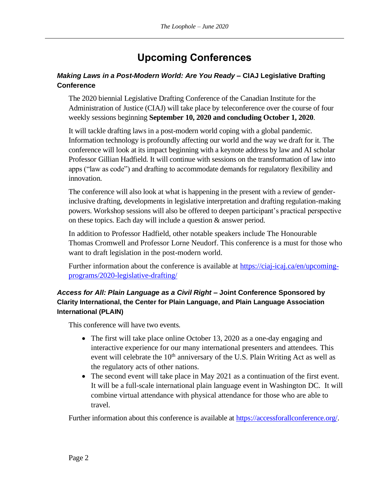# **Upcoming Conferences**

### <span id="page-5-0"></span>*Making Laws in a Post-Modern World: Are You Ready* **– CIAJ Legislative Drafting Conference**

The 2020 biennial Legislative Drafting Conference of the Canadian Institute for the Administration of Justice (CIAJ) will take place by teleconference over the course of four weekly sessions beginning **September 10, 2020 and concluding October 1, 2020**.

It will tackle drafting laws in a post-modern world coping with a global pandemic. Information technology is profoundly affecting our world and the way we draft for it. The conference will look at its impact beginning with a keynote address by law and AI scholar Professor Gillian Hadfield. It will continue with sessions on the transformation of law into apps ("law as code") and drafting to accommodate demands for regulatory flexibility and innovation.

The conference will also look at what is happening in the present with a review of genderinclusive drafting, developments in legislative interpretation and drafting regulation-making powers. Workshop sessions will also be offered to deepen participant's practical perspective on these topics. Each day will include a question & answer period.

In addition to Professor Hadfield, other notable speakers include The Honourable Thomas Cromwell and Professor Lorne Neudorf. This conference is a must for those who want to draft legislation in the post-modern world.

Further information about the conference is available at [https://ciaj-icaj.ca/en/upcoming](https://ciaj-icaj.ca/en/upcoming-programs/2020-legislative-drafting/)[programs/2020-legislative-drafting/](https://ciaj-icaj.ca/en/upcoming-programs/2020-legislative-drafting/)

### *Access for All: Plain Language as a Civil Right* **– Joint Conference Sponsored by Clarity International, the Center for Plain Language, and Plain Language Association International (PLAIN)**

This conference will have two events.

- The first will take place online October 13, 2020 as a one-day engaging and interactive experience for our many international presenters and attendees. This event will celebrate the  $10<sup>th</sup>$  anniversary of the U.S. Plain Writing Act as well as the regulatory acts of other nations.
- The second event will take place in May 2021 as a continuation of the first event. It will be a full-scale international plain language event in Washington DC. It will combine virtual attendance with physical attendance for those who are able to travel.

Further information about this conference is available at [https://accessforallconference.org/.](https://accessforallconference.org/)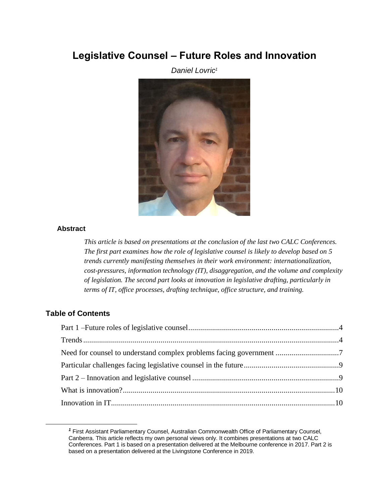# <span id="page-6-1"></span><span id="page-6-0"></span>**Legislative Counsel – Future Roles and Innovation**

*Daniel Lovric<sup>1</sup>*



### **Abstract**

*This article is based on presentations at the conclusion of the last two CALC Conferences. The first part examines how the role of legislative counsel is likely to develop based on 5 trends currently manifesting themselves in their work environment: internationalization, cost-pressures, information technology (IT), disaggregation, and the volume and complexity of legislation. The second part looks at innovation in legislative drafting, particularly in terms of IT, office processes, drafting technique, office structure, and training.*

### **Table of Contents**

| Need for counsel to understand complex problems facing government 7 |  |
|---------------------------------------------------------------------|--|
|                                                                     |  |
|                                                                     |  |
|                                                                     |  |
|                                                                     |  |

*<sup>1</sup>* First Assistant Parliamentary Counsel, Australian Commonwealth Office of Parliamentary Counsel, Canberra. This article reflects my own personal views only. It combines presentations at two CALC Conferences. Part 1 is based on a presentation delivered at the Melbourne conference in 2017. Part 2 is based on a presentation delivered at the Livingstone Conference in 2019.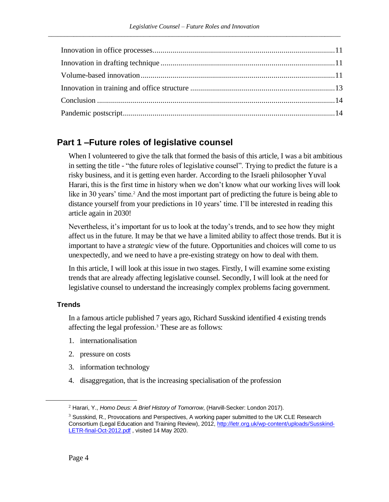# <span id="page-7-0"></span>**Part 1 –Future roles of legislative counsel**

When I volunteered to give the talk that formed the basis of this article, I was a bit ambitious in setting the title - "the future roles of legislative counsel". Trying to predict the future is a risky business, and it is getting even harder. According to the Israeli philosopher Yuval Harari, this is the first time in history when we don't know what our working lives will look like in 30 years' time.<sup>2</sup> And the most important part of predicting the future is being able to distance yourself from your predictions in 10 years' time. I'll be interested in reading this article again in 2030!

Nevertheless, it's important for us to look at the today's trends, and to see how they might affect us in the future. It may be that we have a limited ability to affect those trends. But it is important to have a *strategic* view of the future. Opportunities and choices will come to us unexpectedly, and we need to have a pre-existing strategy on how to deal with them.

In this article, I will look at this issue in two stages. Firstly, I will examine some existing trends that are already affecting legislative counsel. Secondly, I will look at the need for legislative counsel to understand the increasingly complex problems facing government.

### <span id="page-7-1"></span>**Trends**

In a famous article published 7 years ago, Richard Susskind identified 4 existing trends affecting the legal profession.<sup>3</sup> These are as follows:

- 1. internationalisation
- 2. pressure on costs
- 3. information technology
- 4. disaggregation, that is the increasing specialisation of the profession

<sup>2</sup> Harari, Y., *Homo Deus: A Brief History of Tomorrow*, (Harvill-Secker: London 2017).

 $3$  Susskind, R., Provocations and Perspectives, A working paper submitted to the UK CLE Research Consortium (Legal Education and Training Review), 2012[, http://letr.org.uk/wp-content/uploads/Susskind-](http://letr.org.uk/wp-content/uploads/Susskind-LETR-final-Oct-2012.pdf)[LETR-final-Oct-2012.pdf](http://letr.org.uk/wp-content/uploads/Susskind-LETR-final-Oct-2012.pdf), visited 14 May 2020.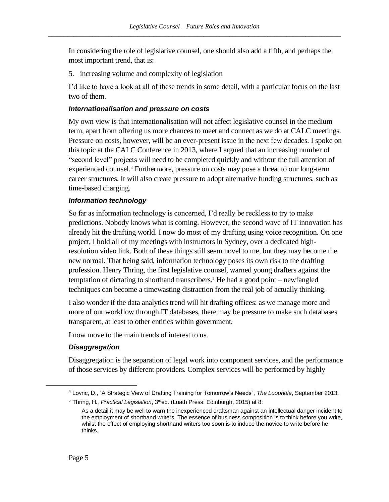In considering the role of legislative counsel, one should also add a fifth, and perhaps the most important trend, that is:

5. increasing volume and complexity of legislation

I'd like to have a look at all of these trends in some detail, with a particular focus on the last two of them.

### *Internationalisation and pressure on costs*

My own view is that internationalisation will not affect legislative counsel in the medium term, apart from offering us more chances to meet and connect as we do at CALC meetings. Pressure on costs, however, will be an ever-present issue in the next few decades. I spoke on this topic at the CALC Conference in 2013, where I argued that an increasing number of "second level" projects will need to be completed quickly and without the full attention of experienced counsel.<sup>4</sup> Furthermore, pressure on costs may pose a threat to our long-term career structures. It will also create pressure to adopt alternative funding structures, such as time-based charging.

### *Information technology*

So far as information technology is concerned, I'd really be reckless to try to make predictions. Nobody knows what is coming. However, the second wave of IT innovation has already hit the drafting world. I now do most of my drafting using voice recognition. On one project, I hold all of my meetings with instructors in Sydney, over a dedicated highresolution video link. Both of these things still seem novel to me, but they may become the new normal. That being said, information technology poses its own risk to the drafting profession. Henry Thring, the first legislative counsel, warned young drafters against the temptation of dictating to shorthand transcribers.<sup>5</sup> He had a good point – newfangled techniques can become a timewasting distraction from the real job of actually thinking.

<span id="page-8-0"></span>I also wonder if the data analytics trend will hit drafting offices: as we manage more and more of our workflow through IT databases, there may be pressure to make such databases transparent, at least to other entities within government.

I now move to the main trends of interest to us.

### *Disaggregation*

Disaggregation is the separation of legal work into component services, and the performance of those services by different providers. Complex services will be performed by highly

<sup>4</sup> Lovric, D., "A Strategic View of Drafting Training for Tomorrow's Needs", *The Loophole*, September 2013.

<sup>&</sup>lt;sup>5</sup> Thring, H., *Practical Legislation*, 3<sup>rd</sup>ed. (Luath Press: Edinburgh, 2015) at 8:

As a detail it may be well to warn the inexperienced draftsman against an intellectual danger incident to the employment of shorthand writers. The essence of business composition is to think before you write, whilst the effect of employing shorthand writers too soon is to induce the novice to write before he thinks.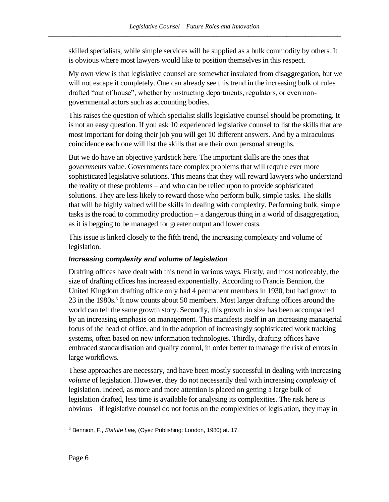skilled specialists, while simple services will be supplied as a bulk commodity by others. It is obvious where most lawyers would like to position themselves in this respect.

My own view is that legislative counsel are somewhat insulated from disaggregation, but we will not escape it completely. One can already see this trend in the increasing bulk of rules drafted "out of house", whether by instructing departments, regulators, or even nongovernmental actors such as accounting bodies.

This raises the question of which specialist skills legislative counsel should be promoting. It is not an easy question. If you ask 10 experienced legislative counsel to list the skills that are most important for doing their job you will get 10 different answers. And by a miraculous coincidence each one will list the skills that are their own personal strengths.

But we do have an objective yardstick here. The important skills are the ones that *governments* value. Governments face complex problems that will require ever more sophisticated legislative solutions. This means that they will reward lawyers who understand the reality of these problems – and who can be relied upon to provide sophisticated solutions. They are less likely to reward those who perform bulk, simple tasks. The skills that will be highly valued will be skills in dealing with complexity. Performing bulk, simple tasks is the road to commodity production – a dangerous thing in a world of disaggregation, as it is begging to be managed for greater output and lower costs.

This issue is linked closely to the fifth trend, the increasing complexity and volume of legislation.

### *Increasing complexity and volume of legislation*

Drafting offices have dealt with this trend in various ways. Firstly, and most noticeably, the size of drafting offices has increased exponentially. According to Francis Bennion, the United Kingdom drafting office only had 4 permanent members in 1930, but had grown to 23 in the 1980s.<sup>6</sup> It now counts about 50 members. Most larger drafting offices around the world can tell the same growth story. Secondly, this growth in size has been accompanied by an increasing emphasis on management. This manifests itself in an increasing managerial focus of the head of office, and in the adoption of increasingly sophisticated work tracking systems, often based on new information technologies. Thirdly, drafting offices have embraced standardisation and quality control, in order better to manage the risk of errors in large workflows.

These approaches are necessary, and have been mostly successful in dealing with increasing *volume* of legislation. However, they do not necessarily deal with increasing *complexity* of legislation. Indeed, as more and more attention is placed on getting a large bulk of legislation drafted, less time is available for analysing its complexities. The risk here is obvious – if legislative counsel do not focus on the complexities of legislation, they may in

<sup>6</sup> Bennion, F., *Statute Law*, (Oyez Publishing: London, 1980) at. 17.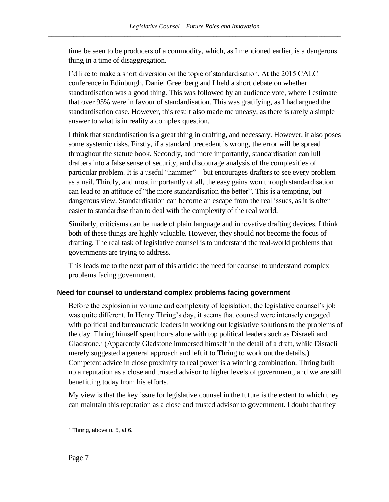time be seen to be producers of a commodity, which, as I mentioned earlier, is a dangerous thing in a time of disaggregation.

I'd like to make a short diversion on the topic of standardisation. At the 2015 CALC conference in Edinburgh, Daniel Greenberg and I held a short debate on whether standardisation was a good thing. This was followed by an audience vote, where I estimate that over 95% were in favour of standardisation. This was gratifying, as I had argued the standardisation case. However, this result also made me uneasy, as there is rarely a simple answer to what is in reality a complex question.

I think that standardisation is a great thing in drafting, and necessary. However, it also poses some systemic risks. Firstly, if a standard precedent is wrong, the error will be spread throughout the statute book. Secondly, and more importantly, standardisation can lull drafters into a false sense of security, and discourage analysis of the complexities of particular problem. It is a useful "hammer" – but encourages drafters to see every problem as a nail. Thirdly, and most importantly of all, the easy gains won through standardisation can lead to an attitude of "the more standardisation the better". This is a tempting, but dangerous view. Standardisation can become an escape from the real issues, as it is often easier to standardise than to deal with the complexity of the real world.

Similarly, criticisms can be made of plain language and innovative drafting devices. I think both of these things are highly valuable. However, they should not become the focus of drafting. The real task of legislative counsel is to understand the real-world problems that governments are trying to address.

This leads me to the next part of this article: the need for counsel to understand complex problems facing government.

### <span id="page-10-0"></span>**Need for counsel to understand complex problems facing government**

Before the explosion in volume and complexity of legislation, the legislative counsel's job was quite different. In Henry Thring's day, it seems that counsel were intensely engaged with political and bureaucratic leaders in working out legislative solutions to the problems of the day. Thring himself spent hours alone with top political leaders such as Disraeli and Gladstone.<sup>7</sup> (Apparently Gladstone immersed himself in the detail of a draft, while Disraeli merely suggested a general approach and left it to Thring to work out the details.) Competent advice in close proximity to real power is a winning combination. Thring built up a reputation as a close and trusted advisor to higher levels of government, and we are still benefitting today from his efforts.

My view is that the key issue for legislative counsel in the future is the extent to which they can maintain this reputation as a close and trusted advisor to government. I doubt that they

 $7$  Thring, above n. [5,](#page-8-0) at 6.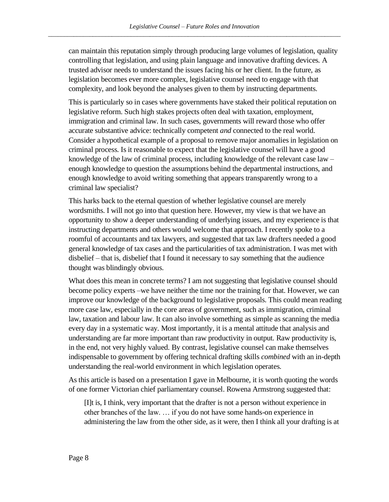can maintain this reputation simply through producing large volumes of legislation, quality controlling that legislation, and using plain language and innovative drafting devices. A trusted advisor needs to understand the issues facing his or her client. In the future, as legislation becomes ever more complex, legislative counsel need to engage with that complexity, and look beyond the analyses given to them by instructing departments.

This is particularly so in cases where governments have staked their political reputation on legislative reform. Such high stakes projects often deal with taxation, employment, immigration and criminal law. In such cases, governments will reward those who offer accurate substantive advice: technically competent *and* connected to the real world. Consider a hypothetical example of a proposal to remove major anomalies in legislation on criminal process. Is it reasonable to expect that the legislative counsel will have a good knowledge of the law of criminal process, including knowledge of the relevant case law – enough knowledge to question the assumptions behind the departmental instructions, and enough knowledge to avoid writing something that appears transparently wrong to a criminal law specialist?

This harks back to the eternal question of whether legislative counsel are merely wordsmiths. I will not go into that question here. However, my view is that we have an opportunity to show a deeper understanding of underlying issues, and my experience is that instructing departments and others would welcome that approach. I recently spoke to a roomful of accountants and tax lawyers, and suggested that tax law drafters needed a good general knowledge of tax cases and the particularities of tax administration. I was met with disbelief – that is, disbelief that I found it necessary to say something that the audience thought was blindingly obvious.

What does this mean in concrete terms? I am not suggesting that legislative counsel should become policy experts –we have neither the time nor the training for that. However, we can improve our knowledge of the background to legislative proposals. This could mean reading more case law, especially in the core areas of government, such as immigration, criminal law, taxation and labour law. It can also involve something as simple as scanning the media every day in a systematic way. Most importantly, it is a mental attitude that analysis and understanding are far more important than raw productivity in output. Raw productivity is, in the end, not very highly valued. By contrast, legislative counsel can make themselves indispensable to government by offering technical drafting skills *combined* with an in-depth understanding the real-world environment in which legislation operates.

As this article is based on a presentation I gave in Melbourne, it is worth quoting the words of one former Victorian chief parliamentary counsel. Rowena Armstrong suggested that:

[I]t is, I think, very important that the drafter is not a person without experience in other branches of the law. … if you do not have some hands-on experience in administering the law from the other side, as it were, then I think all your drafting is at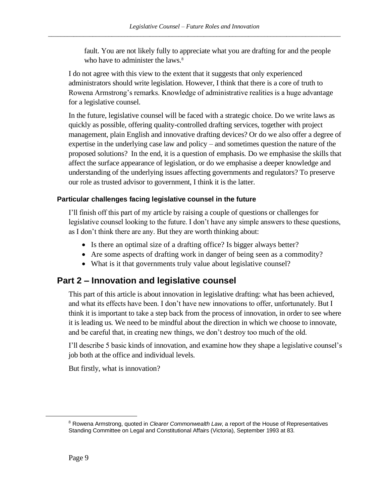fault. You are not likely fully to appreciate what you are drafting for and the people who have to administer the laws.<sup>8</sup>

I do not agree with this view to the extent that it suggests that only experienced administrators should write legislation. However, I think that there is a core of truth to Rowena Armstrong's remarks. Knowledge of administrative realities is a huge advantage for a legislative counsel.

In the future, legislative counsel will be faced with a strategic choice. Do we write laws as quickly as possible, offering quality-controlled drafting services, together with project management, plain English and innovative drafting devices? Or do we also offer a degree of expertise in the underlying case law and policy – and sometimes question the nature of the proposed solutions? In the end, it is a question of emphasis. Do we emphasise the skills that affect the surface appearance of legislation, or do we emphasise a deeper knowledge and understanding of the underlying issues affecting governments and regulators? To preserve our role as trusted advisor to government, I think it is the latter.

### <span id="page-12-0"></span>**Particular challenges facing legislative counsel in the future**

I'll finish off this part of my article by raising a couple of questions or challenges for legislative counsel looking to the future. I don't have any simple answers to these questions, as I don't think there are any. But they are worth thinking about:

- Is there an optimal size of a drafting office? Is bigger always better?
- Are some aspects of drafting work in danger of being seen as a commodity?
- What is it that governments truly value about legislative counsel?

# <span id="page-12-1"></span>**Part 2 – Innovation and legislative counsel**

This part of this article is about innovation in legislative drafting: what has been achieved, and what its effects have been. I don't have new innovations to offer, unfortunately. But I think it is important to take a step back from the process of innovation, in order to see where it is leading us. We need to be mindful about the direction in which we choose to innovate, and be careful that, in creating new things, we don't destroy too much of the old.

I'll describe 5 basic kinds of innovation, and examine how they shape a legislative counsel's job both at the office and individual levels.

But firstly, what is innovation?

<sup>8</sup> Rowena Armstrong, quoted in *Clearer Commonwealth Law*, a report of the House of Representatives Standing Committee on Legal and Constitutional Affairs (Victoria), September 1993 at 83.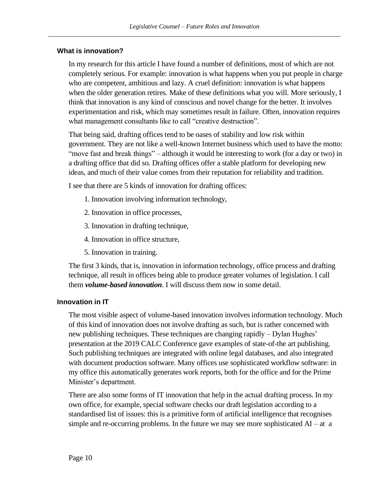### <span id="page-13-0"></span>**What is innovation?**

In my research for this article I have found a number of definitions, most of which are not completely serious. For example: innovation is what happens when you put people in charge who are competent, ambitious and lazy. A cruel definition: innovation is what happens when the older generation retires. Make of these definitions what you will. More seriously, I think that innovation is any kind of conscious and novel change for the better. It involves experimentation and risk, which may sometimes result in failure. Often, innovation requires what management consultants like to call "creative destruction".

That being said, drafting offices tend to be oases of stability and low risk within government. They are not like a well-known Internet business which used to have the motto: "move fast and break things" – although it would be interesting to work (for a day or two) in a drafting office that did so. Drafting offices offer a stable platform for developing new ideas, and much of their value comes from their reputation for reliability and tradition.

I see that there are 5 kinds of innovation for drafting offices:

- 1. Innovation involving information technology,
- 2. Innovation in office processes,
- 3. Innovation in drafting technique,
- 4. Innovation in office structure,
- 5. Innovation in training.

The first 3 kinds, that is, innovation in information technology, office process and drafting technique, all result in offices being able to produce greater volumes of legislation. I call them *volume-based innovation*. I will discuss them now in some detail.

### <span id="page-13-1"></span>**Innovation in IT**

The most visible aspect of volume-based innovation involves information technology. Much of this kind of innovation does not involve drafting as such, but is rather concerned with new publishing techniques. These techniques are changing rapidly – Dylan Hughes' presentation at the 2019 CALC Conference gave examples of state-of-the art publishing. Such publishing techniques are integrated with online legal databases, and also integrated with document production software. Many offices use sophisticated workflow software: in my office this automatically generates work reports, both for the office and for the Prime Minister's department.

There are also some forms of IT innovation that help in the actual drafting process. In my own office, for example, special software checks our draft legislation according to a standardised list of issues: this is a primitive form of artificial intelligence that recognises simple and re-occurring problems. In the future we may see more sophisticated  $AI - at a$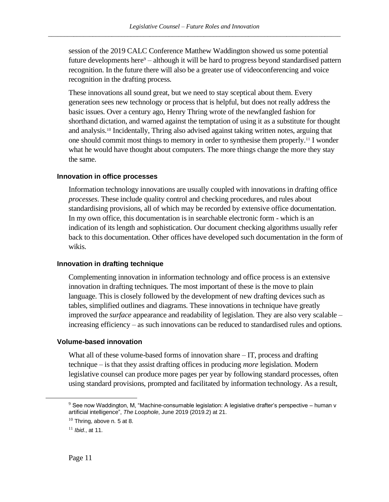session of the 2019 CALC Conference Matthew Waddington showed us some potential future developments here $9$  – although it will be hard to progress beyond standardised pattern recognition. In the future there will also be a greater use of videoconferencing and voice recognition in the drafting process.

These innovations all sound great, but we need to stay sceptical about them. Every generation sees new technology or process that is helpful, but does not really address the basic issues. Over a century ago, Henry Thring wrote of the newfangled fashion for shorthand dictation, and warned against the temptation of using it as a substitute for thought and analysis.<sup>10</sup> Incidentally, Thring also advised against taking written notes, arguing that one should commit most things to memory in order to synthesise them properly.<sup>11</sup> I wonder what he would have thought about computers. The more things change the more they stay the same.

### <span id="page-14-0"></span>**Innovation in office processes**

Information technology innovations are usually coupled with innovations in drafting office *processes*. These include quality control and checking procedures, and rules about standardising provisions, all of which may be recorded by extensive office documentation. In my own office, this documentation is in searchable electronic form - which is an indication of its length and sophistication. Our document checking algorithms usually refer back to this documentation. Other offices have developed such documentation in the form of wikis.

### <span id="page-14-1"></span>**Innovation in drafting technique**

Complementing innovation in information technology and office process is an extensive innovation in drafting techniques. The most important of these is the move to plain language. This is closely followed by the development of new drafting devices such as tables, simplified outlines and diagrams. These innovations in technique have greatly improved the *surface* appearance and readability of legislation. They are also very scalable – increasing efficiency – as such innovations can be reduced to standardised rules and options.

### <span id="page-14-2"></span>**Volume-based innovation**

What all of these volume-based forms of innovation share – IT, process and drafting technique – is that they assist drafting offices in producing *more* legislation. Modern legislative counsel can produce more pages per year by following standard processes, often using standard provisions, prompted and facilitated by information technology. As a result,

 $9$  See now Waddington, M, "Machine-consumable legislation: A legislative drafter's perspective – human v artificial intelligence", *The Loophole*, June 2019 (2019.2) at 21.

 $10$  Thring, above n[. 5](#page-8-0) at 8.

<sup>11</sup> *Ibid*., at 11.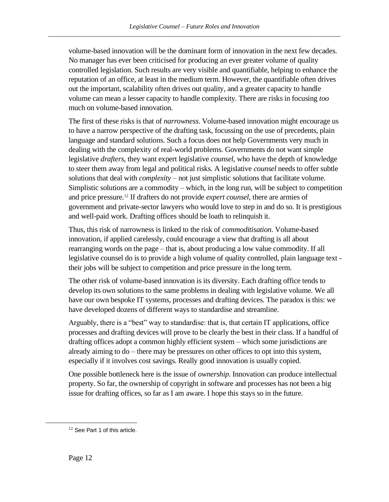volume-based innovation will be the dominant form of innovation in the next few decades. No manager has ever been criticised for producing an ever greater volume of quality controlled legislation. Such results are very visible and quantifiable, helping to enhance the reputation of an office, at least in the medium term. However, the quantifiable often drives out the important, scalability often drives out quality, and a greater capacity to handle volume can mean a lesser capacity to handle complexity. There are risks in focusing *too* much on volume-based innovation.

The first of these risks is that of *narrowness*. Volume-based innovation might encourage us to have a narrow perspective of the drafting task, focussing on the use of precedents, plain language and standard solutions. Such a focus does not help Governments very much in dealing with the complexity of real-world problems. Governments do not want simple legislative *drafters*, they want expert legislative *counsel*, who have the depth of knowledge to steer them away from legal and political risks. A legislative *counsel* needs to offer subtle solutions that deal with *complexity* – not just simplistic solutions that facilitate volume. Simplistic solutions are a commodity – which, in the long run, will be subject to competition and price pressure.<sup>12</sup> If drafters do not provide *expert counsel*, there are armies of government and private-sector lawyers who would love to step in and do so. It is prestigious and well-paid work. Drafting offices should be loath to relinquish it.

Thus, this risk of narrowness is linked to the risk of *commoditisation*. Volume-based innovation, if applied carelessly, could encourage a view that drafting is all about rearranging words on the page – that is, about producing a low value commodity. If all legislative counsel do is to provide a high volume of quality controlled, plain language text their jobs will be subject to competition and price pressure in the long term.

The other risk of volume-based innovation is its diversity. Each drafting office tends to develop its own solutions to the same problems in dealing with legislative volume. We all have our own bespoke IT systems, processes and drafting devices. The paradox is this: we have developed dozens of different ways to standardise and streamline.

Arguably, there is a "best" way to standardise: that is, that certain IT applications, office processes and drafting devices will prove to be clearly the best in their class. If a handful of drafting offices adopt a common highly efficient system – which some jurisdictions are already aiming to do – there may be pressures on other offices to opt into this system, especially if it involves cost savings. Really good innovation is usually copied.

One possible bottleneck here is the issue of *ownership*. Innovation can produce intellectual property. So far, the ownership of copyright in software and processes has not been a big issue for drafting offices, so far as I am aware. I hope this stays so in the future.

<sup>&</sup>lt;sup>12</sup> See Part 1 of this article.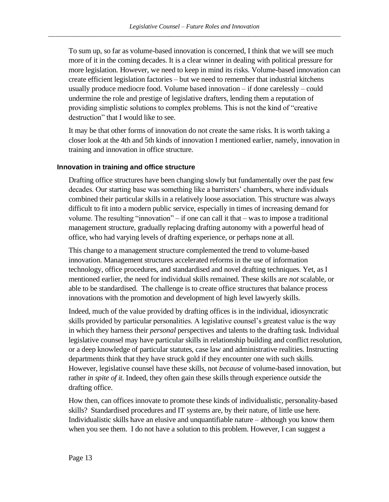To sum up, so far as volume-based innovation is concerned, I think that we will see much more of it in the coming decades. It is a clear winner in dealing with political pressure for more legislation. However, we need to keep in mind its risks. Volume-based innovation can create efficient legislation factories – but we need to remember that industrial kitchens usually produce mediocre food. Volume based innovation – if done carelessly – could undermine the role and prestige of legislative drafters, lending them a reputation of providing simplistic solutions to complex problems. This is not the kind of "creative destruction" that I would like to see.

It may be that other forms of innovation do not create the same risks. It is worth taking a closer look at the 4th and 5th kinds of innovation I mentioned earlier, namely, innovation in training and innovation in office structure.

### <span id="page-16-0"></span>**Innovation in training and office structure**

Drafting office structures have been changing slowly but fundamentally over the past few decades. Our starting base was something like a barristers' chambers, where individuals combined their particular skills in a relatively loose association. This structure was always difficult to fit into a modern public service, especially in times of increasing demand for volume. The resulting "innovation" – if one can call it that – was to impose a traditional management structure, gradually replacing drafting autonomy with a powerful head of office, who had varying levels of drafting experience, or perhaps none at all.

This change to a management structure complemented the trend to volume-based innovation. Management structures accelerated reforms in the use of information technology, office procedures, and standardised and novel drafting techniques. Yet, as I mentioned earlier, the need for individual skills remained. These skills are *not* scalable, or able to be standardised. The challenge is to create office structures that balance process innovations with the promotion and development of high level lawyerly skills.

Indeed, much of the value provided by drafting offices is in the individual, idiosyncratic skills provided by particular personalities. A legislative counsel's greatest value is the way in which they harness their *personal* perspectives and talents to the drafting task. Individual legislative counsel may have particular skills in relationship building and conflict resolution, or a deep knowledge of particular statutes, case law and administrative realities. Instructing departments think that they have struck gold if they encounter one with such skills. However, legislative counsel have these skills, not *because* of volume-based innovation, but rather *in spite of it*. Indeed, they often gain these skills through experience *outside* the drafting office.

How then, can offices innovate to promote these kinds of individualistic, personality-based skills? Standardised procedures and IT systems are, by their nature, of little use here. Individualistic skills have an elusive and unquantifiable nature – although you know them when you see them. I do not have a solution to this problem. However, I can suggest a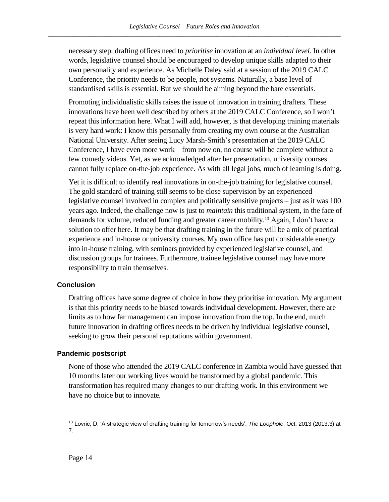necessary step: drafting offices need to *prioritise* innovation at an *individual level*. In other words, legislative counsel should be encouraged to develop unique skills adapted to their own personality and experience. As Michelle Daley said at a session of the 2019 CALC Conference, the priority needs to be people, not systems. Naturally, a base level of standardised skills is essential. But we should be aiming beyond the bare essentials.

Promoting individualistic skills raises the issue of innovation in training drafters. These innovations have been well described by others at the 2019 CALC Conference, so I won't repeat this information here. What I will add, however, is that developing training materials is very hard work: I know this personally from creating my own course at the Australian National University. After seeing Lucy Marsh-Smith's presentation at the 2019 CALC Conference, I have even more work – from now on, no course will be complete without a few comedy videos. Yet, as we acknowledged after her presentation, university courses cannot fully replace on-the-job experience. As with all legal jobs, much of learning is doing.

Yet it is difficult to identify real innovations in on-the-job training for legislative counsel. The gold standard of training still seems to be close supervision by an experienced legislative counsel involved in complex and politically sensitive projects – just as it was 100 years ago. Indeed, the challenge now is just to *maintain* this traditional system, in the face of demands for volume, reduced funding and greater career mobility.<sup>13</sup> Again, I don't have a solution to offer here. It may be that drafting training in the future will be a mix of practical experience and in-house or university courses. My own office has put considerable energy into in-house training, with seminars provided by experienced legislative counsel, and discussion groups for trainees. Furthermore, trainee legislative counsel may have more responsibility to train themselves.

### <span id="page-17-0"></span>**Conclusion**

Drafting offices have some degree of choice in how they prioritise innovation. My argument is that this priority needs to be biased towards individual development. However, there are limits as to how far management can impose innovation from the top. In the end, much future innovation in drafting offices needs to be driven by individual legislative counsel, seeking to grow their personal reputations within government.

### <span id="page-17-1"></span>**Pandemic postscript**

None of those who attended the 2019 CALC conference in Zambia would have guessed that 10 months later our working lives would be transformed by a global pandemic. This transformation has required many changes to our drafting work. In this environment we have no choice but to innovate.

<sup>13</sup> Lovric, D, 'A strategic view of drafting training for tomorrow's needs', *The Loophole*, Oct. 2013 (2013.3) at 7.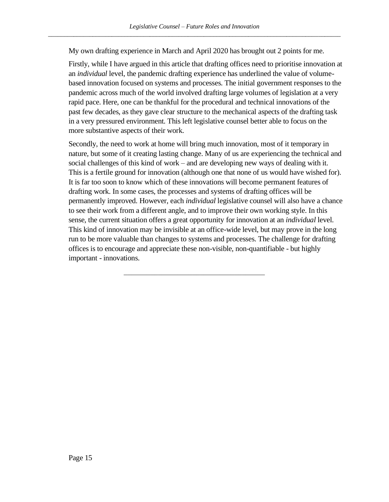My own drafting experience in March and April 2020 has brought out 2 points for me.

Firstly, while I have argued in this article that drafting offices need to prioritise innovation at an *individual* level, the pandemic drafting experience has underlined the value of volumebased innovation focused on systems and processes. The initial government responses to the pandemic across much of the world involved drafting large volumes of legislation at a very rapid pace. Here, one can be thankful for the procedural and technical innovations of the past few decades, as they gave clear structure to the mechanical aspects of the drafting task in a very pressured environment. This left legislative counsel better able to focus on the more substantive aspects of their work.

Secondly, the need to work at home will bring much innovation, most of it temporary in nature, but some of it creating lasting change. Many of us are experiencing the technical and social challenges of this kind of work – and are developing new ways of dealing with it. This is a fertile ground for innovation (although one that none of us would have wished for). It is far too soon to know which of these innovations will become permanent features of drafting work. In some cases, the processes and systems of drafting offices will be permanently improved. However, each *individual* legislative counsel will also have a chance to see their work from a different angle, and to improve their own working style. In this sense, the current situation offers a great opportunity for innovation at an *individual* level. This kind of innovation may be invisible at an office-wide level, but may prove in the long run to be more valuable than changes to systems and processes. The challenge for drafting offices is to encourage and appreciate these non-visible, non-quantifiable - but highly important - innovations.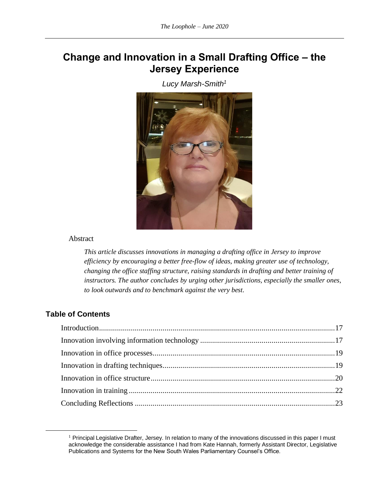# <span id="page-19-1"></span><span id="page-19-0"></span>**Change and Innovation in a Small Drafting Office – the Jersey Experience**

*Lucy Marsh-Smith<sup>1</sup>*



### Abstract

*This article discusses innovations in managing a drafting office in Jersey to improve efficiency by encouraging a better free-flow of ideas, making greater use of technology, changing the office staffing structure, raising standards in drafting and better training of instructors. The author concludes by urging other jurisdictions, especially the smaller ones, to look outwards and to benchmark against the very best.*

### **Table of Contents**

<sup>&</sup>lt;sup>1</sup> Principal Legislative Drafter, Jersey. In relation to many of the innovations discussed in this paper I must acknowledge the considerable assistance I had from Kate Hannah, formerly Assistant Director, Legislative Publications and Systems for the New South Wales Parliamentary Counsel's Office.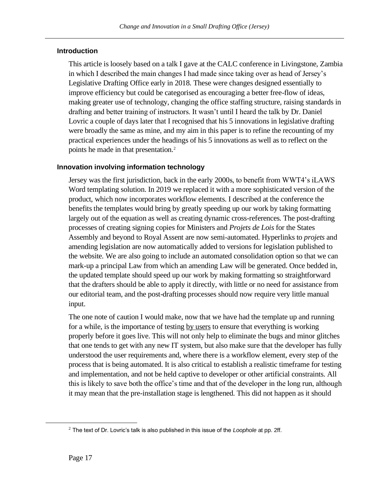### <span id="page-20-0"></span>**Introduction**

This article is loosely based on a talk I gave at the CALC conference in Livingstone, Zambia in which I described the main changes I had made since taking over as head of Jersey's Legislative Drafting Office early in 2018. These were changes designed essentially to improve efficiency but could be categorised as encouraging a better free-flow of ideas, making greater use of technology, changing the office staffing structure, raising standards in drafting and better training of instructors. It wasn't until I heard the talk by Dr. Daniel Lovric a couple of days later that I recognised that his 5 innovations in legislative drafting were broadly the same as mine, and my aim in this paper is to refine the recounting of my practical experiences under the headings of his 5 innovations as well as to reflect on the points he made in that presentation.<sup>2</sup>

### <span id="page-20-1"></span>**Innovation involving information technology**

Jersey was the first jurisdiction, back in the early 2000s, to benefit from WWT4's iLAWS Word templating solution. In 2019 we replaced it with a more sophisticated version of the product, which now incorporates workflow elements. I described at the conference the benefits the templates would bring by greatly speeding up our work by taking formatting largely out of the equation as well as creating dynamic cross-references. The post-drafting processes of creating signing copies for Ministers and *Projets de Lois* for the States Assembly and beyond to Royal Assent are now semi-automated. Hyperlinks to *projets* and amending legislation are now automatically added to versions for legislation published to the website. We are also going to include an automated consolidation option so that we can mark-up a principal Law from which an amending Law will be generated. Once bedded in, the updated template should speed up our work by making formatting so straightforward that the drafters should be able to apply it directly, with little or no need for assistance from our editorial team, and the post-drafting processes should now require very little manual input.

The one note of caution I would make, now that we have had the template up and running for a while, is the importance of testing by users to ensure that everything is working properly before it goes live. This will not only help to eliminate the bugs and minor glitches that one tends to get with any new IT system, but also make sure that the developer has fully understood the user requirements and, where there is a workflow element, every step of the process that is being automated. It is also critical to establish a realistic timeframe for testing and implementation, and not be held captive to developer or other artificial constraints. All this is likely to save both the office's time and that of the developer in the long run, although it may mean that the pre-installation stage is lengthened. This did not happen as it should

<sup>2</sup> The text of Dr. Lovric's talk is also published in this issue of the *Loophole* at pp. [2f](#page-5-0)f.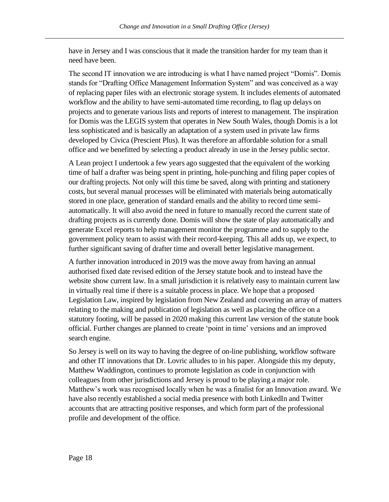have in Jersey and I was conscious that it made the transition harder for my team than it need have been.

The second IT innovation we are introducing is what I have named project "Domis". Domis stands for "Drafting Office Management Information System" and was conceived as a way of replacing paper files with an electronic storage system. It includes elements of automated workflow and the ability to have semi-automated time recording, to flag up delays on projects and to generate various lists and reports of interest to management. The inspiration for Domis was the LEGIS system that operates in New South Wales, though Domis is a lot less sophisticated and is basically an adaptation of a system used in private law firms developed by Civica (Prescient Plus). It was therefore an affordable solution for a small office and we benefitted by selecting a product already in use in the Jersey public sector.

A Lean project I undertook a few years ago suggested that the equivalent of the working time of half a drafter was being spent in printing, hole-punching and filing paper copies of our drafting projects. Not only will this time be saved, along with printing and stationery costs, but several manual processes will be eliminated with materials being automatically stored in one place, generation of standard emails and the ability to record time semiautomatically. It will also avoid the need in future to manually record the current state of drafting projects as is currently done. Domis will show the state of play automatically and generate Excel reports to help management monitor the programme and to supply to the government policy team to assist with their record-keeping. This all adds up, we expect, to further significant saving of drafter time and overall better legislative management.

A further innovation introduced in 2019 was the move away from having an annual authorised fixed date revised edition of the Jersey statute book and to instead have the website show current law. In a small jurisdiction it is relatively easy to maintain current law in virtually real time if there is a suitable process in place. We hope that a proposed Legislation Law, inspired by legislation from New Zealand and covering an array of matters relating to the making and publication of legislation as well as placing the office on a statutory footing, will be passed in 2020 making this current law version of the statute book official. Further changes are planned to create 'point in time' versions and an improved search engine.

So Jersey is well on its way to having the degree of on-line publishing, workflow software and other IT innovations that Dr. Lovric alludes to in his paper. Alongside this my deputy, Matthew Waddington, continues to promote legislation as code in conjunction with colleagues from other jurisdictions and Jersey is proud to be playing a major role. Matthew's work was recognised locally when he was a finalist for an Innovation award. We have also recently established a social media presence with both LinkedIn and Twitter accounts that are attracting positive responses, and which form part of the professional profile and development of the office.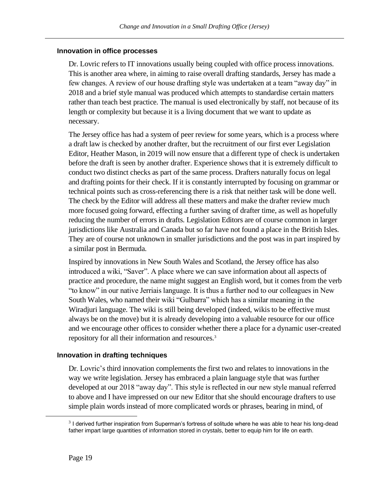### <span id="page-22-0"></span>**Innovation in office processes**

Dr. Lovric refers to IT innovations usually being coupled with office process innovations. This is another area where, in aiming to raise overall drafting standards, Jersey has made a few changes. A review of our house drafting style was undertaken at a team "away day" in 2018 and a brief style manual was produced which attempts to standardise certain matters rather than teach best practice. The manual is used electronically by staff, not because of its length or complexity but because it is a living document that we want to update as necessary.

The Jersey office has had a system of peer review for some years, which is a process where a draft law is checked by another drafter, but the recruitment of our first ever Legislation Editor, Heather Mason, in 2019 will now ensure that a different type of check is undertaken before the draft is seen by another drafter. Experience shows that it is extremely difficult to conduct two distinct checks as part of the same process. Drafters naturally focus on legal and drafting points for their check. If it is constantly interrupted by focusing on grammar or technical points such as cross-referencing there is a risk that neither task will be done well. The check by the Editor will address all these matters and make the drafter review much more focused going forward, effecting a further saving of drafter time, as well as hopefully reducing the number of errors in drafts. Legislation Editors are of course common in larger jurisdictions like Australia and Canada but so far have not found a place in the British Isles. They are of course not unknown in smaller jurisdictions and the post was in part inspired by a similar post in Bermuda.

Inspired by innovations in New South Wales and Scotland, the Jersey office has also introduced a wiki, "Saver". A place where we can save information about all aspects of practice and procedure, the name might suggest an English word, but it comes from the verb "to know" in our native Jerriais language. It is thus a further nod to our colleagues in New South Wales, who named their wiki "Gulbarra" which has a similar meaning in the Wiradjuri language. The wiki is still being developed (indeed, wikis to be effective must always be on the move) but it is already developing into a valuable resource for our office and we encourage other offices to consider whether there a place for a dynamic user-created repository for all their information and resources.<sup>3</sup>

### <span id="page-22-1"></span>**Innovation in drafting techniques**

Dr. Lovric's third innovation complements the first two and relates to innovations in the way we write legislation. Jersey has embraced a plain language style that was further developed at our 2018 "away day". This style is reflected in our new style manual referred to above and I have impressed on our new Editor that she should encourage drafters to use simple plain words instead of more complicated words or phrases, bearing in mind, of

<sup>&</sup>lt;sup>3</sup> I derived further inspiration from Superman's fortress of solitude where he was able to hear his long-dead father impart large quantities of information stored in crystals, better to equip him for life on earth.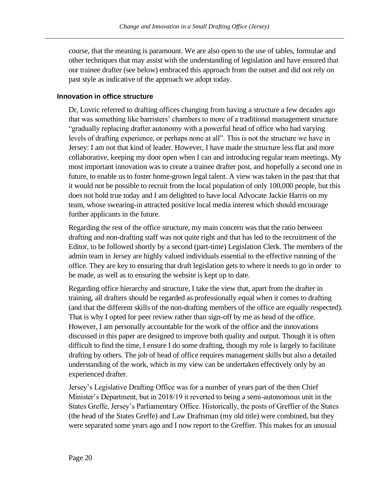course, that the meaning is paramount. We are also open to the use of tables, formulae and other techniques that may assist with the understanding of legislation and have ensured that our trainee drafter (see below) embraced this approach from the outset and did not rely on past style as indicative of the approach we adopt today.

### <span id="page-23-0"></span>**Innovation in office structure**

Dr, Lovric referred to drafting offices changing from having a structure a few decades ago that was something like barristers' chambers to more of a traditional management structure "gradually replacing drafter autonomy with a powerful head of office who had varying levels of drafting experience, or perhaps none at all". This is not the structure we have in Jersey: I am not that kind of leader. However, I have made the structure less flat and more collaborative, keeping my door open when I can and introducing regular team meetings. My most important innovation was to create a trainee drafter post, and hopefully a second one in future, to enable us to foster home-grown legal talent. A view was taken in the past that that it would not be possible to recruit from the local population of only 100,000 people, but this does not hold true today and I am delighted to have local Advocate Jackie Harris on my team, whose swearing-in attracted positive local media interest which should encourage further applicants in the future.

Regarding the rest of the office structure, my main concern was that the ratio between drafting and non-drafting staff was not quite right and that has led to the recruitment of the Editor, to be followed shortly by a second (part-time) Legislation Clerk. The members of the admin team in Jersey are highly valued individuals essential to the effective running of the office. They are key to ensuring that draft legislation gets to where it needs to go in order to be made, as well as to ensuring the website is kept up to date.

Regarding office hierarchy and structure, I take the view that, apart from the drafter in training, all drafters should be regarded as professionally equal when it comes to drafting (and that the different skills of the non-drafting members of the office are equally respected). That is why I opted for peer review rather than sign-off by me as head of the office. However, I am personally accountable for the work of the office and the innovations discussed in this paper are designed to improve both quality and output. Though it is often difficult to find the time, I ensure I do some drafting, though my role is largely to facilitate drafting by others. The job of head of office requires management skills but also a detailed understanding of the work, which in my view can be undertaken effectively only by an experienced drafter.

Jersey's Legislative Drafting Office was for a number of years part of the then Chief Minister's Department, but in 2018/19 it reverted to being a semi-autonomous unit in the States Greffe, Jersey's Parliamentary Office. Historically, the posts of Greffier of the States (the head of the States Greffe) and Law Draftsman (my old title) were combined, but they were separated some years ago and I now report to the Greffier. This makes for an unusual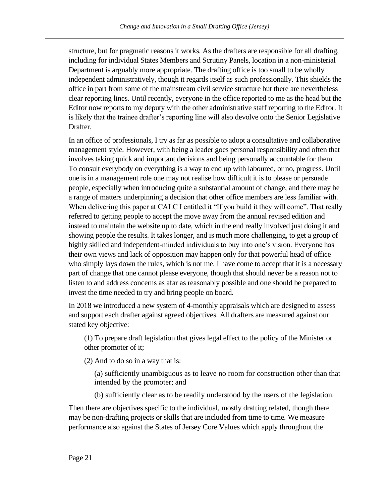structure, but for pragmatic reasons it works. As the drafters are responsible for all drafting, including for individual States Members and Scrutiny Panels, location in a non-ministerial Department is arguably more appropriate. The drafting office is too small to be wholly independent administratively, though it regards itself as such professionally. This shields the office in part from some of the mainstream civil service structure but there are nevertheless clear reporting lines. Until recently, everyone in the office reported to me as the head but the Editor now reports to my deputy with the other administrative staff reporting to the Editor. It is likely that the trainee drafter's reporting line will also devolve onto the Senior Legislative Drafter.

In an office of professionals, I try as far as possible to adopt a consultative and collaborative management style. However, with being a leader goes personal responsibility and often that involves taking quick and important decisions and being personally accountable for them. To consult everybody on everything is a way to end up with laboured, or no, progress. Until one is in a management role one may not realise how difficult it is to please or persuade people, especially when introducing quite a substantial amount of change, and there may be a range of matters underpinning a decision that other office members are less familiar with. When delivering this paper at CALC I entitled it "If you build it they will come". That really referred to getting people to accept the move away from the annual revised edition and instead to maintain the website up to date, which in the end really involved just doing it and showing people the results. It takes longer, and is much more challenging, to get a group of highly skilled and independent-minded individuals to buy into one's vision. Everyone has their own views and lack of opposition may happen only for that powerful head of office who simply lays down the rules, which is not me. I have come to accept that it is a necessary part of change that one cannot please everyone, though that should never be a reason not to listen to and address concerns as afar as reasonably possible and one should be prepared to invest the time needed to try and bring people on board.

In 2018 we introduced a new system of 4-monthly appraisals which are designed to assess and support each drafter against agreed objectives. All drafters are measured against our stated key objective:

(1) To prepare draft legislation that gives legal effect to the policy of the Minister or other promoter of it;

(2) And to do so in a way that is:

(a) sufficiently unambiguous as to leave no room for construction other than that intended by the promoter; and

(b) sufficiently clear as to be readily understood by the users of the legislation.

Then there are objectives specific to the individual, mostly drafting related, though there may be non-drafting projects or skills that are included from time to time. We measure performance also against the States of Jersey Core Values which apply throughout the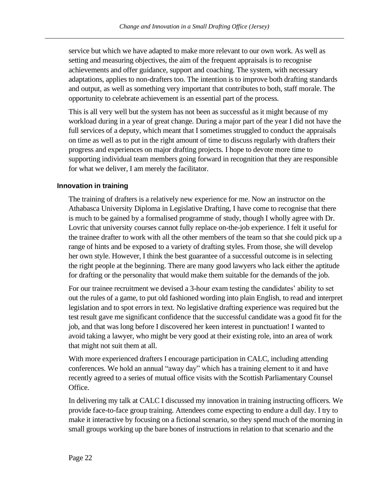service but which we have adapted to make more relevant to our own work. As well as setting and measuring objectives, the aim of the frequent appraisals is to recognise achievements and offer guidance, support and coaching. The system, with necessary adaptations, applies to non-drafters too. The intention is to improve both drafting standards and output, as well as something very important that contributes to both, staff morale. The opportunity to celebrate achievement is an essential part of the process.

This is all very well but the system has not been as successful as it might because of my workload during in a year of great change. During a major part of the year I did not have the full services of a deputy, which meant that I sometimes struggled to conduct the appraisals on time as well as to put in the right amount of time to discuss regularly with drafters their progress and experiences on major drafting projects. I hope to devote more time to supporting individual team members going forward in recognition that they are responsible for what we deliver, I am merely the facilitator.

### <span id="page-25-0"></span>**Innovation in training**

The training of drafters is a relatively new experience for me. Now an instructor on the Athabasca University Diploma in Legislative Drafting, I have come to recognise that there is much to be gained by a formalised programme of study, though I wholly agree with Dr. Lovric that university courses cannot fully replace on-the-job experience. I felt it useful for the trainee drafter to work with all the other members of the team so that she could pick up a range of hints and be exposed to a variety of drafting styles. From those, she will develop her own style. However, I think the best guarantee of a successful outcome is in selecting the right people at the beginning. There are many good lawyers who lack either the aptitude for drafting or the personality that would make them suitable for the demands of the job.

For our trainee recruitment we devised a 3-hour exam testing the candidates' ability to set out the rules of a game, to put old fashioned wording into plain English, to read and interpret legislation and to spot errors in text. No legislative drafting experience was required but the test result gave me significant confidence that the successful candidate was a good fit for the job, and that was long before I discovered her keen interest in punctuation! I wanted to avoid taking a lawyer, who might be very good at their existing role, into an area of work that might not suit them at all.

With more experienced drafters I encourage participation in CALC, including attending conferences. We hold an annual "away day" which has a training element to it and have recently agreed to a series of mutual office visits with the Scottish Parliamentary Counsel Office.

In delivering my talk at CALC I discussed my innovation in training instructing officers. We provide face-to-face group training. Attendees come expecting to endure a dull day. I try to make it interactive by focusing on a fictional scenario, so they spend much of the morning in small groups working up the bare bones of instructions in relation to that scenario and the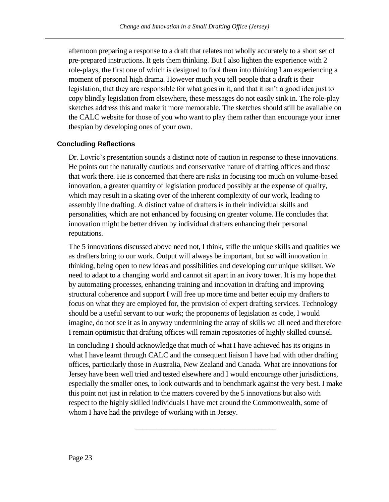afternoon preparing a response to a draft that relates not wholly accurately to a short set of pre-prepared instructions. It gets them thinking. But I also lighten the experience with 2 role-plays, the first one of which is designed to fool them into thinking I am experiencing a moment of personal high drama. However much you tell people that a draft is their legislation, that they are responsible for what goes in it, and that it isn't a good idea just to copy blindly legislation from elsewhere, these messages do not easily sink in. The role-play sketches address this and make it more memorable. The sketches should still be available on the CALC website for those of you who want to play them rather than encourage your inner thespian by developing ones of your own.

### <span id="page-26-0"></span>**Concluding Reflections**

Dr. Lovric's presentation sounds a distinct note of caution in response to these innovations. He points out the naturally cautious and conservative nature of drafting offices and those that work there. He is concerned that there are risks in focusing too much on volume-based innovation, a greater quantity of legislation produced possibly at the expense of quality, which may result in a skating over of the inherent complexity of our work, leading to assembly line drafting. A distinct value of drafters is in their individual skills and personalities, which are not enhanced by focusing on greater volume. He concludes that innovation might be better driven by individual drafters enhancing their personal reputations.

The 5 innovations discussed above need not, I think, stifle the unique skills and qualities we as drafters bring to our work. Output will always be important, but so will innovation in thinking, being open to new ideas and possibilities and developing our unique skillset. We need to adapt to a changing world and cannot sit apart in an ivory tower. It is my hope that by automating processes, enhancing training and innovation in drafting and improving structural coherence and support I will free up more time and better equip my drafters to focus on what they are employed for, the provision of expert drafting services. Technology should be a useful servant to our work; the proponents of legislation as code, I would imagine, do not see it as in anyway undermining the array of skills we all need and therefore I remain optimistic that drafting offices will remain repositories of highly skilled counsel.

In concluding I should acknowledge that much of what I have achieved has its origins in what I have learnt through CALC and the consequent liaison I have had with other drafting offices, particularly those in Australia, New Zealand and Canada. What are innovations for Jersey have been well tried and tested elsewhere and I would encourage other jurisdictions, especially the smaller ones, to look outwards and to benchmark against the very best. I make this point not just in relation to the matters covered by the 5 innovations but also with respect to the highly skilled individuals I have met around the Commonwealth, some of whom I have had the privilege of working with in Jersey.

\_\_\_\_\_\_\_\_\_\_\_\_\_\_\_\_\_\_\_\_\_\_\_\_\_\_\_\_\_\_\_\_\_\_\_\_\_\_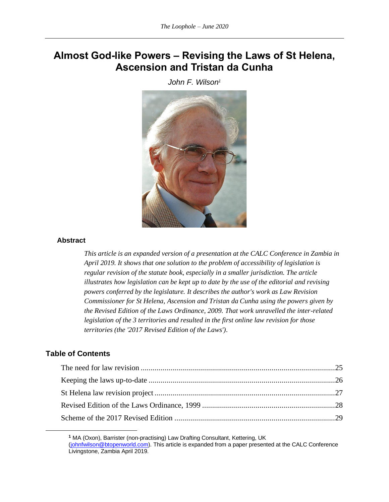# <span id="page-27-1"></span><span id="page-27-0"></span>**Almost God-like Powers – Revising the Laws of St Helena, Ascension and Tristan da Cunha**

*John F. Wilson<sup>1</sup>*



### **Abstract**

*This article is an expanded version of a presentation at the CALC Conference in Zambia in April 2019. It shows that one solution to the problem of accessibility of legislation is regular revision of the statute book, especially in a smaller jurisdiction. The article illustrates how legislation can be kept up to date by the use of the editorial and revising powers conferred by the legislature. It describes the author's work as Law Revision Commissioner for St Helena, Ascension and Tristan da Cunha using the powers given by the Revised Edition of the Laws Ordinance, 2009. That work unravelled the inter-related legislation of the 3 territories and resulted in the first online law revision for those territories (the '2017 Revised Edition of the Laws')*.

### **Table of Contents**

**<sup>1</sup>** MA (Oxon), Barrister (non-practising) Law Drafting Consultant, Kettering, UK [\(johnfwilson@btopenworld.com\)](about:blank). This article is expanded from a paper presented at the CALC Conference Livingstone, Zambia April 2019.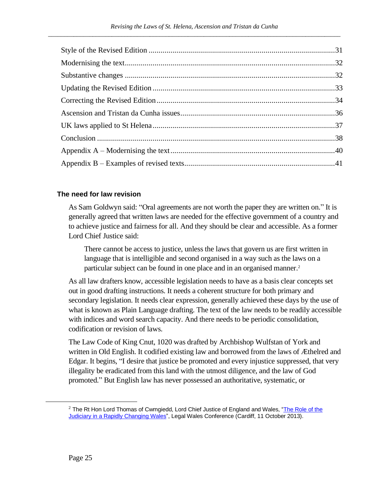### <span id="page-28-0"></span>**The need for law revision**

As Sam Goldwyn said: "Oral agreements are not worth the paper they are written on." It is generally agreed that written laws are needed for the effective government of a country and to achieve justice and fairness for all. And they should be clear and accessible. As a former Lord Chief Justice said:

There cannot be access to justice, unless the laws that govern us are first written in language that is intelligible and second organised in a way such as the laws on a particular subject can be found in one place and in an organised manner. 2

As all law drafters know, accessible legislation needs to have as a basis clear concepts set out in good drafting instructions. It needs a coherent structure for both primary and secondary legislation. It needs clear expression, generally achieved these days by the use of what is known as Plain Language drafting. The text of the law needs to be readily accessible with indices and word search capacity. And there needs to be periodic consolidation, codification or revision of laws.

The Law Code of King Cnut, 1020 was drafted by Archbishop Wulfstan of York and written in Old English. It codified existing law and borrowed from the laws of Æthelred and Edgar. It begins, "I desire that justice be promoted and every injustice suppressed, that very illegality be eradicated from this land with the utmost diligence, and the law of God promoted." But English law has never possessed an authoritative, systematic, or

<sup>&</sup>lt;sup>2</sup> The Rt Hon Lord Thomas of Cwmgiedd, Lord Chief Justice of England and Wales, "The Role of the [Judiciary in a Rapidly Changing Wales"](https://www.judiciary.uk/wp-content/uploads/2015/10/speech-lcj-legal-wales-speech.pdf), Legal Wales Conference (Cardiff, 11 October 2013).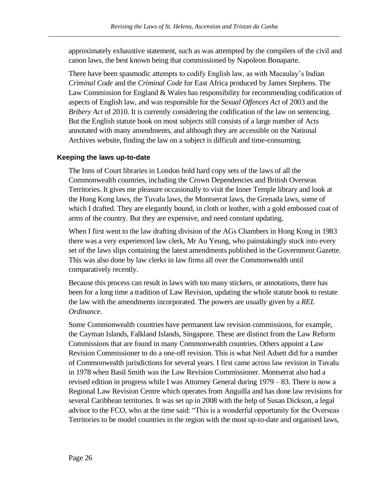approximately exhaustive statement, such as was attempted by the compilers of the civil and canon laws, the best known being that commissioned by Napoleon Bonaparte.

There have been spasmodic attempts to codify English law, as with Macaulay's Indian *Criminal Code* and the *Criminal Code* for East Africa produced by James Stephens. The Law Commission for England & Wales has responsibility for recommending codification of aspects of English law, and was responsible for the *Sexual Offences Act* of 2003 and the *Bribery Act* of 2010. It is currently considering the codification of the law on sentencing. But the English statute book on most subjects still consists of a large number of Acts annotated with many amendments, and although they are accessible on the National Archives website, finding the law on a subject is difficult and time-consuming.

### <span id="page-29-0"></span>**Keeping the laws up-to-date**

The Inns of Court libraries in London hold hard copy sets of the laws of all the Commonwealth countries, including the Crown Dependencies and British Overseas Territories. It gives me pleasure occasionally to visit the Inner Temple library and look at the Hong Kong laws, the Tuvalu laws, the Montserrat laws, the Grenada laws, some of which I drafted. They are elegantly bound, in cloth or leather, with a gold embossed coat of arms of the country. But they are expensive, and need constant updating.

When I first went to the law drafting division of the AGs Chambers in Hong Kong in 1983 there was a very experienced law clerk, Mr Au Yeung, who painstakingly stuck into every set of the laws slips containing the latest amendments published in the Government Gazette. This was also done by law clerks in law firms all over the Commonwealth until comparatively recently.

Because this process can result in laws with too many stickers, or annotations, there has been for a long time a tradition of Law Revision, updating the whole statute book to restate the law with the amendments incorporated. The powers are usually given by a *REL Ordinance*.

Some Commonwealth countries have permanent law revision commissions, for example, the Cayman Islands, Falkland Islands, Singapore. These are distinct from the Law Reform Commissions that are found in many Commonwealth countries. Others appoint a Law Revision Commissioner to do a one-off revision. This is what Neil Adsett did for a number of Commonwealth jurisdictions for several years. I first came across law revision in Tuvalu in 1978 when Basil Smith was the Law Revision Commissioner. Montserrat also had a revised edition in progress while I was Attorney General during 1979 – 83. There is now a Regional Law Revision Centre which operates from Anguilla and has done law revisions for several Caribbean territories. It was set up in 2008 with the help of Susan Dickson, a legal advisor to the FCO, who at the time said: "This is a wonderful opportunity for the Overseas Territories to be model countries in the region with the most up-to-date and organised laws,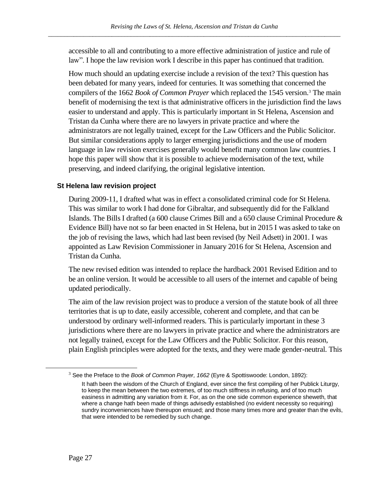accessible to all and contributing to a more effective administration of justice and rule of law". I hope the law revision work I describe in this paper has continued that tradition.

How much should an updating exercise include a revision of the text? This question has been debated for many years, indeed for centuries. It was something that concerned the compilers of the 1662 *Book of Common Prayer* which replaced the 1545 version.<sup>3</sup> The main benefit of modernising the text is that administrative officers in the jurisdiction find the laws easier to understand and apply. This is particularly important in St Helena, Ascension and Tristan da Cunha where there are no lawyers in private practice and where the administrators are not legally trained, except for the Law Officers and the Public Solicitor. But similar considerations apply to larger emerging jurisdictions and the use of modern language in law revision exercises generally would benefit many common law countries. I hope this paper will show that it is possible to achieve modernisation of the text, while preserving, and indeed clarifying, the original legislative intention.

### <span id="page-30-0"></span>**St Helena law revision project**

During 2009-11, I drafted what was in effect a consolidated criminal code for St Helena. This was similar to work I had done for Gibraltar, and subsequently did for the Falkland Islands. The Bills I drafted (a 600 clause Crimes Bill and a 650 clause Criminal Procedure & Evidence Bill) have not so far been enacted in St Helena, but in 2015 I was asked to take on the job of revising the laws, which had last been revised (by Neil Adsett) in 2001. I was appointed as Law Revision Commissioner in January 2016 for St Helena, Ascension and Tristan da Cunha.

The new revised edition was intended to replace the hardback 2001 Revised Edition and to be an online version. It would be accessible to all users of the internet and capable of being updated periodically.

The aim of the law revision project was to produce a version of the statute book of all three territories that is up to date, easily accessible, coherent and complete, and that can be understood by ordinary well-informed readers. This is particularly important in these 3 jurisdictions where there are no lawyers in private practice and where the administrators are not legally trained, except for the Law Officers and the Public Solicitor. For this reason, plain English principles were adopted for the texts, and they were made gender-neutral. This

<sup>3</sup> See the Preface to the *Book of Common Prayer, 1662* (Eyre & Spottiswoode: London, 1892): It hath been the wisdom of the Church of England, ever since the first compiling of her Publick Liturgy,

to keep the mean between the two extremes, of too much stiffness in refusing, and of too much easiness in admitting any variation from it. For, as on the one side common experience sheweth, that where a change hath been made of things advisedly established (no evident necessity so requiring) sundry inconveniences have thereupon ensued; and those many times more and greater than the evils, that were intended to be remedied by such change.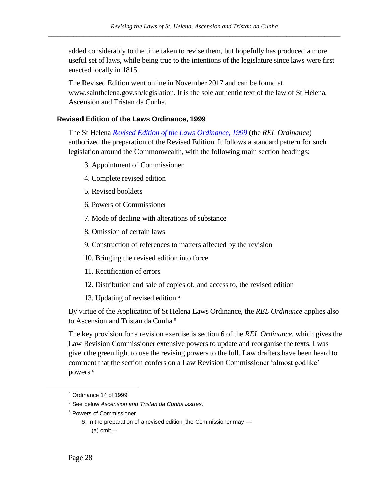added considerably to the time taken to revise them, but hopefully has produced a more useful set of laws, while being true to the intentions of the legislature since laws were first enacted locally in 1815.

The Revised Edition went online in November 2017 and can be found at [www.sainthelena.gov.sh/legislation.](http://www.sainthelena.gov.sh/legislation) It is the sole authentic text of the law of St Helena, Ascension and Tristan da Cunha.

### <span id="page-31-0"></span>**Revised Edition of the Laws Ordinance, 1999**

The St Helena *[Revised Edition of the Laws Ordinance, 1999](https://www.sainthelena.gov.sh/wp-content/uploads/2017/11/Revised-Edition-of-the-Laws-Ordinance-1999-final.pdf)* (the *REL Ordinance*) authorized the preparation of the Revised Edition. It follows a standard pattern for such legislation around the Commonwealth, with the following main section headings:

- 3. Appointment of Commissioner
- 4. Complete revised edition
- 5. Revised booklets
- 6. Powers of Commissioner
- 7. Mode of dealing with alterations of substance
- 8. Omission of certain laws
- 9. Construction of references to matters affected by the revision
- 10. Bringing the revised edition into force
- 11. Rectification of errors
- 12. Distribution and sale of copies of, and access to, the revised edition
- 13. Updating of revised edition. 4

By virtue of the Application of St Helena Laws Ordinance, the *REL Ordinance* applies also to Ascension and Tristan da Cunha.<sup>5</sup>

The key provision for a revision exercise is section 6 of the *REL Ordinance*, which gives the Law Revision Commissioner extensive powers to update and reorganise the texts. I was given the green light to use the revising powers to the full. Law drafters have been heard to comment that the section confers on a Law Revision Commissioner 'almost godlike' powers.<sup>6</sup>

 $4$  Ordinance 14 of 1999.

<sup>5</sup> See below *[Ascension and Tristan da Cunha issues](#page-39-0)*.

<sup>6</sup> Powers of Commissioner

<sup>6.</sup> In the preparation of a revised edition, the Commissioner may — (a) omit—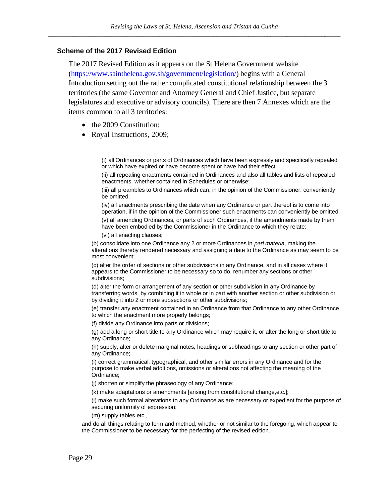### <span id="page-32-0"></span>**Scheme of the 2017 Revised Edition**

The 2017 Revised Edition as it appears on the St Helena Government website [\(https://www.sainthelena.gov.sh/government/legislation/\)](https://www.sainthelena.gov.sh/government/legislation/) begins with a General Introduction setting out the rather complicated constitutional relationship between the 3 territories (the same Governor and Attorney General and Chief Justice, but separate legislatures and executive or advisory councils). There are then 7 Annexes which are the items common to all 3 territories:

- the 2009 Constitution:
- Royal Instructions, 2009;

(v) all amending Ordinances, or parts of such Ordinances, if the amendments made by them have been embodied by the Commissioner in the Ordinance to which they relate;

(vi) all enacting clauses;

(b) consolidate into one Ordinance any 2 or more Ordinances in *pari materia*, making the alterations thereby rendered necessary and assigning a date to the Ordinance as may seem to be most convenient;

(c) alter the order of sections or other subdivisions in any Ordinance, and in all cases where it appears to the Commissioner to be necessary so to do, renumber any sections or other subdivisions;

(d) alter the form or arrangement of any section or other subdivision in any Ordinance by transferring words, by combining it in whole or in part with another section or other subdivision or by dividing it into 2 or more subsections or other subdivisions;

(e) transfer any enactment contained in an Ordinance from that Ordinance to any other Ordinance to which the enactment more properly belongs;

(f) divide any Ordinance into parts or divisions;

(g) add a long or short title to any Ordinance which may require it, or alter the long or short title to any Ordinance;

(h) supply, alter or delete marginal notes, headings or subheadings to any section or other part of any Ordinance;

(i) correct grammatical, typographical, and other similar errors in any Ordinance and for the purpose to make verbal additions, omissions or alterations not affecting the meaning of the Ordinance;

(j) shorten or simplify the phraseology of any Ordinance;

(k) make adaptations or amendments [arising from constitutional change,etc.];

(l) make such formal alterations to any Ordinance as are necessary or expedient for the purpose of securing uniformity of expression;

(m) supply tables etc.,

and do all things relating to form and method, whether or not similar to the foregoing, which appear to the Commissioner to be necessary for the perfecting of the revised edition.

<sup>(</sup>i) all Ordinances or parts of Ordinances which have been expressly and specifically repealed or which have expired or have become spent or have had their effect;

<sup>(</sup>ii) all repealing enactments contained in Ordinances and also all tables and lists of repealed enactments, whether contained in Schedules or otherwise;

<sup>(</sup>iii) all preambles to Ordinances which can, in the opinion of the Commissioner, conveniently be omitted;

<sup>(</sup>iv) all enactments prescribing the date when any Ordinance or part thereof is to come into operation, if in the opinion of the Commissioner such enactments can conveniently be omitted;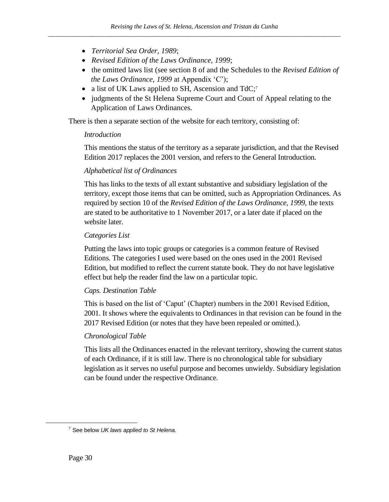- *Territorial Sea Order, 1989*;
- *Revised Edition of the Laws Ordinance, 1999*;
- the omitted laws list (see section 8 of and the Schedules to the *Revised Edition of the Laws Ordinance, 1999* at Appendix 'C');
- a list of UK Laws applied to SH, Ascension and TdC;<sup>7</sup>
- judgments of the St Helena Supreme Court and Court of Appeal relating to the Application of Laws Ordinances.

There is then a separate section of the website for each territory, consisting of:

### *Introduction*

This mentions the status of the territory as a separate jurisdiction, and that the Revised Edition 2017 replaces the 2001 version, and refers to the General Introduction.

### *Alphabetical list of Ordinances*

This has links to the texts of all extant substantive and subsidiary legislation of the territory, except those items that can be omitted, such as Appropriation Ordinances. As required by section 10 of the *Revised Edition of the Laws Ordinance, 1999*, the texts are stated to be authoritative to 1 November 2017, or a later date if placed on the website later.

### *Categories List*

Putting the laws into topic groups or categories is a common feature of Revised Editions. The categories I used were based on the ones used in the 2001 Revised Edition, but modified to reflect the current statute book. They do not have legislative effect but help the reader find the law on a particular topic.

### *Caps. Destination Table*

This is based on the list of 'Caput' (Chapter) numbers in the 2001 Revised Edition, 2001. It shows where the equivalents to Ordinances in that revision can be found in the 2017 Revised Edition (or notes that they have been repealed or omitted.).

### *Chronological Table*

This lists all the Ordinances enacted in the relevant territory, showing the current status of each Ordinance, if it is still law. There is no chronological table for subsidiary legislation as it serves no useful purpose and becomes unwieldy. Subsidiary legislation can be found under the respective Ordinance.

<sup>7</sup> See below *[UK laws applied to St Helena.](#page-40-0)*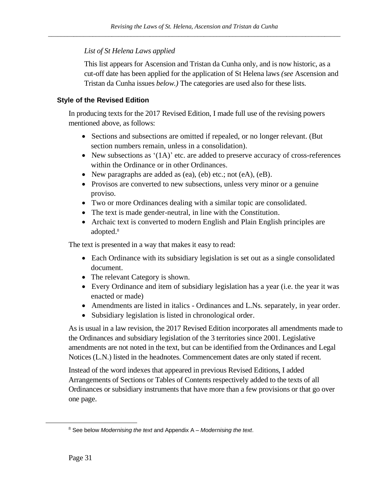### *List of St Helena Laws applied*

This list appears for Ascension and Tristan da Cunha only, and is now historic, as a cut-off date has been applied for the application of St Helena laws *(see* Ascension and Tristan da Cunha issues *below.)* The categories are used also for these lists.

### <span id="page-34-0"></span>**Style of the Revised Edition**

In producing texts for the 2017 Revised Edition, I made full use of the revising powers mentioned above, as follows:

- Sections and subsections are omitted if repealed, or no longer relevant. (But section numbers remain, unless in a consolidation).
- New subsections as  $(1A)$  etc. are added to preserve accuracy of cross-references within the Ordinance or in other Ordinances.
- New paragraphs are added as (ea), (eb) etc.; not (eA), (eB).
- Provisos are converted to new subsections, unless very minor or a genuine proviso.
- Two or more Ordinances dealing with a similar topic are consolidated.
- The text is made gender-neutral, in line with the Constitution.
- Archaic text is converted to modern English and Plain English principles are adopted. 8

The text is presented in a way that makes it easy to read:

- Each Ordinance with its subsidiary legislation is set out as a single consolidated document.
- The relevant Category is shown.
- Every Ordinance and item of subsidiary legislation has a year (i.e. the year it was enacted or made)
- Amendments are listed in italics Ordinances and L.Ns. separately, in year order.
- Subsidiary legislation is listed in chronological order.

As is usual in a law revision, the 2017 Revised Edition incorporates all amendments made to the Ordinances and subsidiary legislation of the 3 territories since 2001. Legislative amendments are not noted in the text, but can be identified from the Ordinances and Legal Notices (L.N.) listed in the headnotes. Commencement dates are only stated if recent.

Instead of the word indexes that appeared in previous Revised Editions, I added Arrangements of Sections or Tables of Contents respectively added to the texts of all Ordinances or subsidiary instruments that have more than a few provisions or that go over one page.

<sup>8</sup> See below *[Modernising](#page-35-0) the text* an[d Appendix A –](#page-43-0) *Modernising the text*.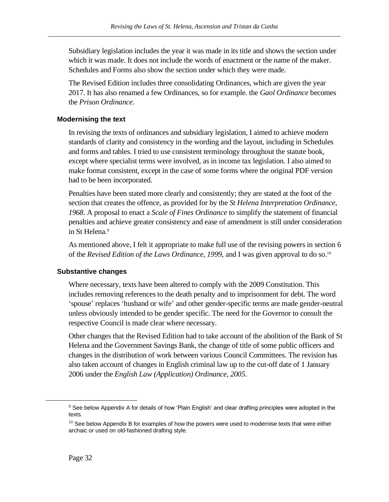Subsidiary legislation includes the year it was made in its title and shows the section under which it was made. It does not include the words of enactment or the name of the maker. Schedules and Forms also show the section under which they were made.

The Revised Edition includes three consolidating Ordinances, which are given the year 2017. It has also renamed a few Ordinances, so for example. the *Gaol Ordinance* becomes the *Prison Ordinance*.

### <span id="page-35-0"></span>**Modernising the text**

In revising the texts of ordinances and subsidiary legislation, I aimed to achieve modern standards of clarity and consistency in the wording and the layout, including in Schedules and forms and tables. I tried to use consistent terminology throughout the statute book, except where specialist terms were involved, as in income tax legislation. I also aimed to make format consistent, except in the case of some forms where the original PDF version had to be been incorporated.

Penalties have been stated more clearly and consistently; they are stated at the foot of the section that creates the offence, as provided for by the *St Helena Interpretation Ordinance, 1968*. A proposal to enact a *Scale of Fines Ordinance* to simplify the statement of financial penalties and achieve greater consistency and ease of amendment is still under consideration in St Helena. 9

As mentioned above, I felt it appropriate to make full use of the revising powers in section 6 of the *Revised Edition of the Laws Ordinance*, 1999, and I was given approval to do so.<sup>10</sup>

### <span id="page-35-1"></span>**Substantive changes**

Where necessary, texts have been altered to comply with the 2009 Constitution. This includes removing references to the death penalty and to imprisonment for debt. The word 'spouse' replaces 'husband or wife' and other gender-specific terms are made gender-neutral unless obviously intended to be gender specific. The need for the Governor to consult the respective Council is made clear where necessary.

Other changes that the Revised Edition had to take account of the abolition of the Bank of St Helena and the Government Savings Bank, the change of title of some public officers and changes in the distribution of work between various Council Committees. The revision has also taken account of changes in English criminal law up to the cut-off date of 1 January 2006 under the *English Law (Application) Ordinance, 2005*.

 $9$  See below Appendix A for details of how 'Plain English' and clear drafting principles were adopted in the texts.

 $10$  See below Appendix B for examples of how the powers were used to modernise texts that were either archaic or used on old-fashioned drafting style.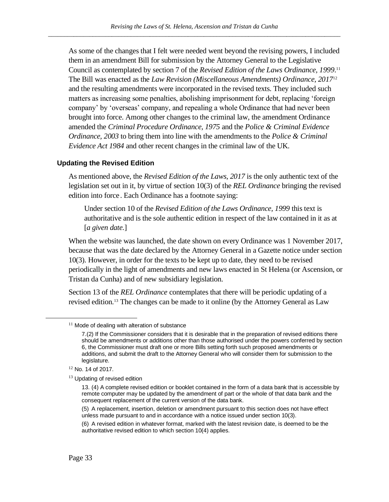As some of the changes that I felt were needed went beyond the revising powers, I included them in an amendment Bill for submission by the Attorney General to the Legislative Council as contemplated by section 7 of the *Revised Edition of the Laws Ordinance, 1999*. 11 The Bill was enacted as the *Law Revision (Miscellaneous Amendments) Ordinance, 2017*<sup>12</sup> and the resulting amendments were incorporated in the revised texts. They included such matters as increasing some penalties, abolishing imprisonment for debt, replacing 'foreign company' by 'overseas' company, and repealing a whole Ordinance that had never been brought into force. Among other changes to the criminal law, the amendment Ordinance amended the *Criminal Procedure Ordinance, 1975* and the *Police & Criminal Evidence Ordinance, 2003* to bring them into line with the amendments to the *Police & Criminal Evidence Act 1984* and other recent changes in the criminal law of the UK.

#### **Updating the Revised Edition**

As mentioned above, the *Revised Edition of the Laws, 2017* is the only authentic text of the legislation set out in it, by virtue of section 10(3) of the *REL Ordinance* bringing the revised edition into force. Each Ordinance has a footnote saying:

Under section 10 of the *Revised Edition of the Laws Ordinance, 1999* this text is authoritative and is the sole authentic edition in respect of the law contained in it as at [*a given date.*]

When the website was launched, the date shown on every Ordinance was 1 November 2017, because that was the date declared by the Attorney General in a Gazette notice under section 10(3). However, in order for the texts to be kept up to date, they need to be revised periodically in the light of amendments and new laws enacted in St Helena (or Ascension, or Tristan da Cunha) and of new subsidiary legislation.

Section 13 of the *REL Ordinance* contemplates that there will be periodic updating of a revised edition.<sup>13</sup> The changes can be made to it online (by the Attorney General as Law

 $11$  Mode of dealing with alteration of substance

<sup>7.(2)</sup> If the Commissioner considers that it is desirable that in the preparation of revised editions there should be amendments or additions other than those authorised under the powers conferred by section 6, the Commissioner must draft one or more Bills setting forth such proposed amendments or additions, and submit the draft to the Attorney General who will consider them for submission to the legislature.

<sup>&</sup>lt;sup>12</sup> No. 14 of 2017.

 $13$  Updating of revised edition

<sup>13.</sup> (4) A complete revised edition or booklet contained in the form of a data bank that is accessible by remote computer may be updated by the amendment of part or the whole of that data bank and the consequent replacement of the current version of the data bank.

<sup>(5)</sup> A replacement, insertion, deletion or amendment pursuant to this section does not have effect unless made pursuant to and in accordance with a notice issued under section 10(3).

<sup>(6)</sup> A revised edition in whatever format, marked with the latest revision date, is deemed to be the authoritative revised edition to which section 10(4) applies.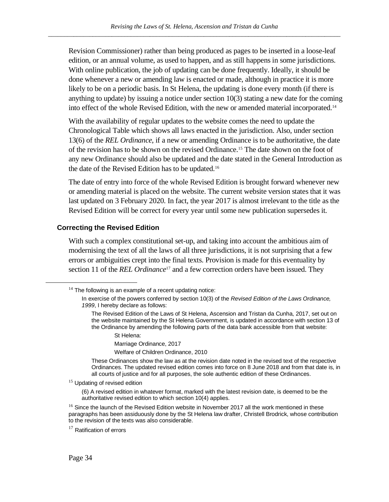Revision Commissioner) rather than being produced as pages to be inserted in a loose-leaf edition, or an annual volume, as used to happen, and as still happens in some jurisdictions. With online publication, the job of updating can be done frequently. Ideally, it should be done whenever a new or amending law is enacted or made, although in practice it is more likely to be on a periodic basis. In St Helena, the updating is done every month (if there is anything to update) by issuing a notice under section 10(3) stating a new date for the coming into effect of the whole Revised Edition, with the new or amended material incorporated.<sup>14</sup>

With the availability of regular updates to the website comes the need to update the Chronological Table which shows all laws enacted in the jurisdiction. Also, under section 13(6) of the *REL Ordinance*, if a new or amending Ordinance is to be authoritative, the date of the revision has to be shown on the revised Ordinance.<sup>15</sup> The date shown on the foot of any new Ordinance should also be updated and the date stated in the General Introduction as the date of the Revised Edition has to be updated.<sup>16</sup>

The date of entry into force of the whole Revised Edition is brought forward whenever new or amending material is placed on the website. The current website version states that it was last updated on 3 February 2020. In fact, the year 2017 is almost irrelevant to the title as the Revised Edition will be correct for every year until some new publication supersedes it.

#### **Correcting the Revised Edition**

With such a complex constitutional set-up, and taking into account the ambitious aim of modernising the text of all the laws of all three jurisdictions, it is not surprising that a few errors or ambiguities crept into the final texts. Provision is made for this eventuality by section 11 of the *REL Ordinance*<sup>17</sup> and a few correction orders have been issued. They

Marriage Ordinance, 2017

Welfare of Children Ordinance, 2010

These Ordinances show the law as at the revision date noted in the revised text of the respective Ordinances. The updated revised edition comes into force on 8 June 2018 and from that date is, in all courts of justice and for all purposes, the sole authentic edition of these Ordinances.

<sup>15</sup> Updating of revised edition

(6) A revised edition in whatever format, marked with the latest revision date, is deemed to be the authoritative revised edition to which section 10(4) applies.

<sup>16</sup> Since the launch of the Revised Edition website in November 2017 all the work mentioned in these paragraphs has been assiduously done by the St Helena law drafter, Christell Brodrick, whose contribution to the revision of the texts was also considerable.

 $17$  Ratification of errors

 $14$  The following is an example of a recent updating notice:

In exercise of the powers conferred by section 10(3) of the *Revised Edition of the Laws Ordinance, 1999*, I hereby declare as follows:

The Revised Edition of the Laws of St Helena, Ascension and Tristan da Cunha, 2017, set out on the website maintained by the St Helena Government, is updated in accordance with section 13 of the Ordinance by amending the following parts of the data bank accessible from that website:

St Helena: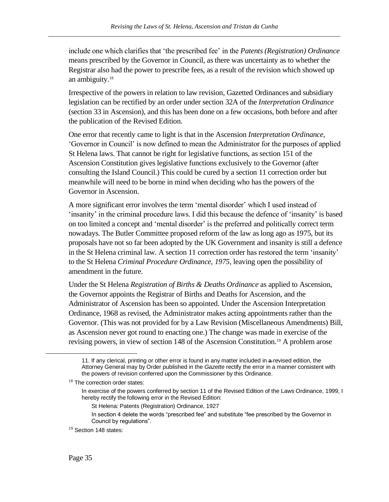include one which clarifies that 'the prescribed fee' in the *Patents (Registration) Ordinance*  means prescribed by the Governor in Council, as there was uncertainty as to whether the Registrar also had the power to prescribe fees, as a result of the revision which showed up an ambiguity.<sup>18</sup>

Irrespective of the powers in relation to law revision, Gazetted Ordinances and subsidiary legislation can be rectified by an order under section 32A of the *Interpretation Ordinance* (section 33 in Ascension), and this has been done on a few occasions, both before and after the publication of the Revised Edition.

One error that recently came to light is that in the Ascension *Interpretation Ordinance*, 'Governor in Council' is now defined to mean the Administrator for the purposes of applied St Helena laws. That cannot be right for legislative functions, as section 151 of the Ascension Constitution gives legislative functions exclusively to the Governor (after consulting the Island Council.) This could be cured by a section 11 correction order but meanwhile will need to be borne in mind when deciding who has the powers of the Governor in Ascension.

A more significant error involves the term 'mental disorder' which I used instead of 'insanity' in the criminal procedure laws. I did this because the defence of 'insanity' is based on too limited a concept and 'mental disorder' is the preferred and politically correct term nowadays. The Butler Committee proposed reform of the law as long ago as 1975, but its proposals have not so far been adopted by the UK Government and insanity is still a defence in the St Helena criminal law. A section 11 correction order has restored the term 'insanity' to the St Helena *Criminal Procedure Ordinance, 1975*, leaving open the possibility of amendment in the future.

Under the St Helena *Registration of Births & Deaths Ordinance* as applied to Ascension, the Governor appoints the Registrar of Births and Deaths for Ascension, and the Administrator of Ascension has been so appointed. Under the Ascension Interpretation Ordinance, 1968 as revised, the Administrator makes acting appointments rather than the Governor. (This was not provided for by a Law Revision (Miscellaneous Amendments) Bill, as Ascension never got round to enacting one.) The change was made in exercise of the revising powers, in view of section 148 of the Ascension Constitution. <sup>19</sup> A problem arose

<sup>11.</sup> If any clerical, printing or other error is found in any matter included in a revised edition, the Attorney General may by Order published in the *Gazette* rectify the error in a manner consistent with the powers of revision conferred upon the Commissioner by this Ordinance.

<sup>&</sup>lt;sup>18</sup> The correction order states:

In exercise of the powers conferred by section 11 of the Revised Edition of the Laws Ordinance, 1999, I hereby rectify the following error in the Revised Edition:

St Helena: Patents (Registration) Ordinance, 1927

In section 4 delete the words "prescribed fee" and substitute "fee prescribed by the Governor in Council by regulations".

 $19$  Section 148 states: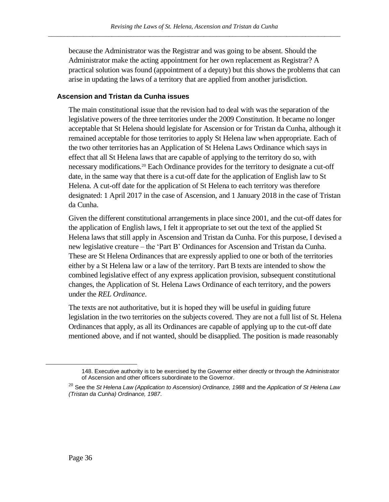because the Administrator was the Registrar and was going to be absent. Should the Administrator make the acting appointment for her own replacement as Registrar? A practical solution was found (appointment of a deputy) but this shows the problems that can arise in updating the laws of a territory that are applied from another jurisdiction.

# <span id="page-39-0"></span>**Ascension and Tristan da Cunha issues**

The main constitutional issue that the revision had to deal with was the separation of the legislative powers of the three territories under the 2009 Constitution. It became no longer acceptable that St Helena should legislate for Ascension or for Tristan da Cunha, although it remained acceptable for those territories to apply St Helena law when appropriate. Each of the two other territories has an Application of St Helena Laws Ordinance which says in effect that all St Helena laws that are capable of applying to the territory do so, with necessary modifications.<sup>20</sup> Each Ordinance provides for the territory to designate a cut-off date, in the same way that there is a cut-off date for the application of English law to St Helena. A cut-off date for the application of St Helena to each territory was therefore designated: 1 April 2017 in the case of Ascension, and 1 January 2018 in the case of Tristan da Cunha.

Given the different constitutional arrangements in place since 2001, and the cut-off dates for the application of English laws, I felt it appropriate to set out the text of the applied St Helena laws that still apply in Ascension and Tristan da Cunha. For this purpose, I devised a new legislative creature – the 'Part B' Ordinances for Ascension and Tristan da Cunha. These are St Helena Ordinances that are expressly applied to one or both of the territories either by a St Helena law or a law of the territory. Part B texts are intended to show the combined legislative effect of any express application provision, subsequent constitutional changes, the Application of St. Helena Laws Ordinance of each territory, and the powers under the *REL Ordinance*.

The texts are not authoritative, but it is hoped they will be useful in guiding future legislation in the two territories on the subjects covered. They are not a full list of St. Helena Ordinances that apply, as all its Ordinances are capable of applying up to the cut-off date mentioned above, and if not wanted, should be disapplied. The position is made reasonably

<sup>148.</sup> Executive authority is to be exercised by the Governor either directly or through the Administrator of Ascension and other officers subordinate to the Governor.

<sup>20</sup> See the *St Helena Law (Application to Ascension) Ordinance, 1988* and the *Application of St Helena Law (Tristan da Cunha) Ordinance, 1987*.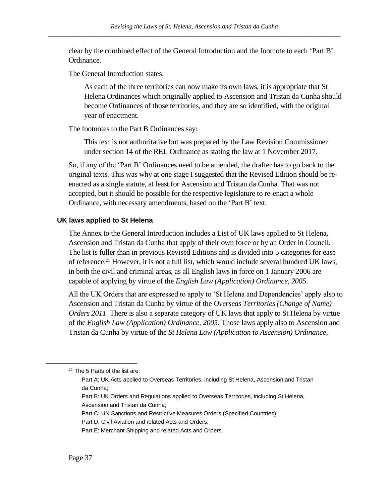clear by the combined effect of the General Introduction and the footnote to each 'Part B' Ordinance.

The General Introduction states:

As each of the three territories can now make its own laws, it is appropriate that St Helena Ordinances which originally applied to Ascension and Tristan da Cunha should become Ordinances of those territories, and they are so identified, with the original year of enactment.

The footnotes to the Part B Ordinances say:

This text is not authoritative but was prepared by the Law Revision Commissioner under section 14 of the REL Ordinance as stating the law at 1 November 2017.

So, if any of the 'Part B' Ordinances need to be amended, the drafter has to go back to the original texts. This was why at one stage I suggested that the Revised Edition should be reenacted as a single statute, at least for Ascension and Tristan da Cunha. That was not accepted, but it should be possible for the respective legislature to re-enact a whole Ordinance, with necessary amendments, based on the 'Part B' text.

#### **UK laws applied to St Helena**

The Annex to the General Introduction includes a List of UK laws applied to St Helena, Ascension and Tristan da Cunha that apply of their own force or by an Order in Council. The list is fuller than in previous Revised Editions and is divided into 5 categories for ease of reference.<sup>21</sup> However, it is not a full list, which would include several hundred UK laws, in both the civil and criminal areas, as all English laws in force on 1 January 2006 are capable of applying by virtue of the *English Law (Application) Ordinance, 2005*.

All the UK Orders that are expressed to apply to 'St Helena and Dependencies' apply also to Ascension and Tristan da Cunha by virtue of the *Overseas Territories (Change of Name) Orders 2011*. There is also a separate category of UK laws that apply to St Helena by virtue of the *English Law (Application) Ordinance, 2005*. Those laws apply also to Ascension and Tristan da Cunha by virtue of the *St Helena Law (Application to Ascension) Ordinance*,

Part B: UK Orders and Regulations applied to Overseas Territories, including St Helena, Ascension and Tristan da Cunha;

 $21$  The 5 Parts of the list are:

Part A: UK Acts applied to Overseas Territories, including St Helena, Ascension and Tristan da Cunha;

Part C: UN Sanctions and Restrictive Measures Orders (Specified Countries);

Part D: Civil Aviation and related Acts and Orders;

Part E: Merchant Shipping and related Acts and Orders.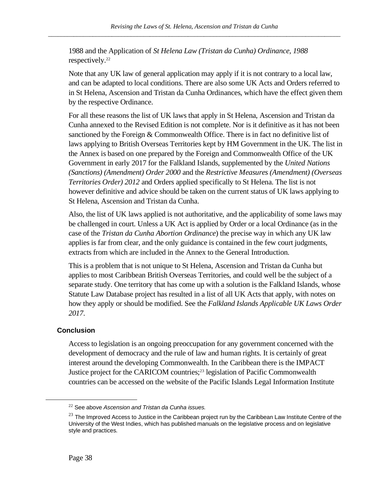1988 and the Application of *St Helena Law (Tristan da Cunha) Ordinance, 1988* respectively. 22

Note that any UK law of general application may apply if it is not contrary to a local law, and can be adapted to local conditions. There are also some UK Acts and Orders referred to in St Helena, Ascension and Tristan da Cunha Ordinances, which have the effect given them by the respective Ordinance.

For all these reasons the list of UK laws that apply in St Helena, Ascension and Tristan da Cunha annexed to the Revised Edition is not complete. Nor is it definitive as it has not been sanctioned by the Foreign & Commonwealth Office. There is in fact no definitive list of laws applying to British Overseas Territories kept by HM Government in the UK. The list in the Annex is based on one prepared by the Foreign and Commonwealth Office of the UK Government in early 2017 for the Falkland Islands, supplemented by the *United Nations (Sanctions) (Amendment) Order 2000* and the *Restrictive Measures (Amendment) (Overseas Territories Order) 2012* and Orders applied specifically to St Helena. The list is not however definitive and advice should be taken on the current status of UK laws applying to St Helena, Ascension and Tristan da Cunha.

Also, the list of UK laws applied is not authoritative, and the applicability of some laws may be challenged in court. Unless a UK Act is applied by Order or a local Ordinance (as in the case of the *Tristan da Cunha Abortion Ordinance*) the precise way in which any UK law applies is far from clear, and the only guidance is contained in the few court judgments, extracts from which are included in the Annex to the General Introduction.

This is a problem that is not unique to St Helena, Ascension and Tristan da Cunha but applies to most Caribbean British Overseas Territories, and could well be the subject of a separate study. One territory that has come up with a solution is the Falkland Islands, whose Statute Law Database project has resulted in a list of all UK Acts that apply, with notes on how they apply or should be modified. See the *Falkland Islands Applicable UK Laws Order 2017*.

# **Conclusion**

Access to legislation is an ongoing preoccupation for any government concerned with the development of democracy and the rule of law and human rights. It is certainly of great interest around the developing Commonwealth. In the Caribbean there is the IMPACT Justice project for the CARICOM countries;<sup>23</sup> legislation of Pacific Commonwealth countries can be accessed on the website of the Pacific Islands Legal Information Institute

<sup>22</sup> See above *[Ascension and Tristan da Cunha issues.](#page-39-0)*

 $23$  The Improved Access to Justice in the Caribbean project run by the Caribbean Law Institute Centre of the University of the West Indies, which has published manuals on the legislative process and on legislative style and practices.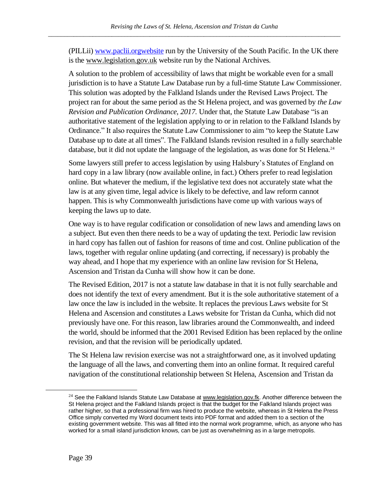(PILLii) www.paclii.orgwebsite run by the University of the South Pacific. In the UK there is the [www.legislation.gov.uk](about:blank) website run by the National Archives.

A solution to the problem of accessibility of laws that might be workable even for a small jurisdiction is to have a Statute Law Database run by a full-time Statute Law Commissioner. This solution was adopted by the Falkland Islands under the Revised Laws Project. The project ran for about the same period as the St Helena project, and was governed by *the Law Revision and Publication Ordinance, 2017.* Under that, the Statute Law Database "is an authoritative statement of the legislation applying to or in relation to the Falkland Islands by Ordinance." It also requires the Statute Law Commissioner to aim "to keep the Statute Law Database up to date at all times". The Falkland Islands revision resulted in a fully searchable database, but it did not update the language of the legislation, as was done for St Helena.<sup>24</sup>

Some lawyers still prefer to access legislation by using Halsbury's Statutes of England on hard copy in a law library (now available online, in fact.) Others prefer to read legislation online. But whatever the medium, if the legislative text does not accurately state what the law is at any given time, legal advice is likely to be defective, and law reform cannot happen. This is why Commonwealth jurisdictions have come up with various ways of keeping the laws up to date.

One way is to have regular codification or consolidation of new laws and amending laws on a subject. But even then there needs to be a way of updating the text. Periodic law revision in hard copy has fallen out of fashion for reasons of time and cost. Online publication of the laws, together with regular online updating (and correcting, if necessary) is probably the way ahead, and I hope that my experience with an online law revision for St Helena, Ascension and Tristan da Cunha will show how it can be done.

The Revised Edition, 2017 is not a statute law database in that it is not fully searchable and does not identify the text of every amendment. But it is the sole authoritative statement of a law once the law is included in the website. It replaces the previous Laws website for St Helena and Ascension and constitutes a Laws website for Tristan da Cunha, which did not previously have one. For this reason, law libraries around the Commonwealth, and indeed the world, should be informed that the 2001 Revised Edition has been replaced by the online revision, and that the revision will be periodically updated.

The St Helena law revision exercise was not a straightforward one, as it involved updating the language of all the laws, and converting them into an online format. It required careful navigation of the constitutional relationship between St Helena, Ascension and Tristan da

<sup>&</sup>lt;sup>24</sup> See the Falkland Islands Statute Law Database at [www.legislation.gov.fk.](about:blank) Another difference between the St Helena project and the Falkland Islands project is that the budget for the Falkland Islands project was rather higher, so that a professional firm was hired to produce the website, whereas in St Helena the Press Office simply converted my Word document texts into PDF format and added them to a section of the existing government website. This was all fitted into the normal work programme, which, as anyone who has worked for a small island jurisdiction knows, can be just as overwhelming as in a large metropolis.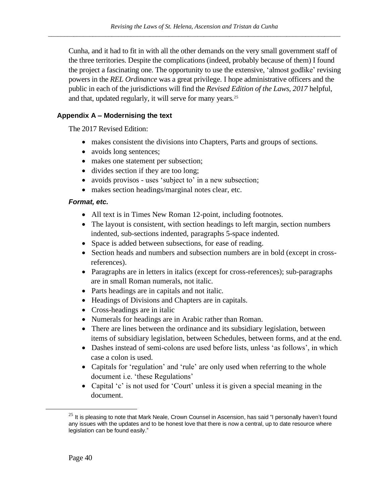Cunha, and it had to fit in with all the other demands on the very small government staff of the three territories. Despite the complications (indeed, probably because of them) I found the project a fascinating one. The opportunity to use the extensive, 'almost godlike' revising powers in the *REL Ordinance* was a great privilege. I hope administrative officers and the public in each of the jurisdictions will find the *Revised Edition of the Laws, 2017* helpful, and that, updated regularly, it will serve for many years.<sup>25</sup>

# **Appendix A – Modernising the text**

The 2017 Revised Edition:

- makes consistent the divisions into Chapters, Parts and groups of sections.
- avoids long sentences;
- makes one statement per subsection;
- divides section if they are too long;
- avoids provisos uses 'subject to' in a new subsection;
- makes section headings/marginal notes clear, etc.

#### *Format, etc.*

- All text is in Times New Roman 12-point, including footnotes.
- The layout is consistent, with section headings to left margin, section numbers indented, sub-sections indented, paragraphs 5-space indented.
- Space is added between subsections, for ease of reading.
- Section heads and numbers and subsection numbers are in bold (except in crossreferences).
- Paragraphs are in letters in italics (except for cross-references); sub-paragraphs are in small Roman numerals, not italic.
- Parts headings are in capitals and not italic.
- Headings of Divisions and Chapters are in capitals.
- Cross-headings are in italic
- Numerals for headings are in Arabic rather than Roman.
- There are lines between the ordinance and its subsidiary legislation, between items of subsidiary legislation, between Schedules, between forms, and at the end.
- Dashes instead of semi-colons are used before lists, unless 'as follows', in which case a colon is used.
- Capitals for 'regulation' and 'rule' are only used when referring to the whole document i.e. 'these Regulations'
- Capital 'c' is not used for 'Court' unless it is given a special meaning in the document.

 $25$  It is pleasing to note that Mark Neale, Crown Counsel in Ascension, has said "I personally haven't found any issues with the updates and to be honest love that there is now a central, up to date resource where legislation can be found easily."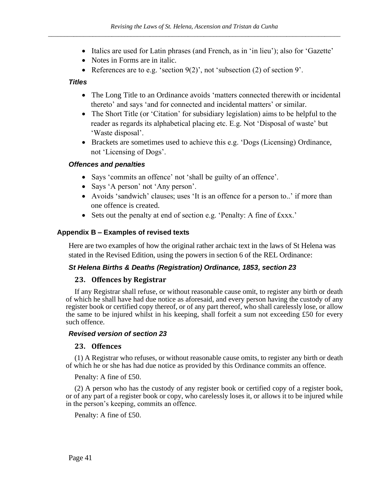- Italics are used for Latin phrases (and French, as in 'in lieu'); also for 'Gazette'
- Notes in Forms are in italic.
- References are to e.g. 'section 9(2)', not 'subsection (2) of section 9'.

# *Titles*

- The Long Title to an Ordinance avoids 'matters connected therewith or incidental thereto' and says 'and for connected and incidental matters' or similar.
- The Short Title (or 'Citation' for subsidiary legislation) aims to be helpful to the reader as regards its alphabetical placing etc. E.g. Not 'Disposal of waste' but 'Waste disposal'.
- Brackets are sometimes used to achieve this e.g. 'Dogs (Licensing) Ordinance, not 'Licensing of Dogs'.

# *Offences and penalties*

- Says 'commits an offence' not 'shall be guilty of an offence'.
- Says 'A person' not 'Any person'.
- Avoids 'sandwich' clauses; uses 'It is an offence for a person to..' if more than one offence is created.
- Sets out the penalty at end of section e.g. 'Penalty: A fine of £xxx.'

# **Appendix B – Examples of revised texts**

Here are two examples of how the original rather archaic text in the laws of St Helena was stated in the Revised Edition, using the powers in section 6 of the REL Ordinance:

#### *St Helena Births & Deaths (Registration) Ordinance, 1853, section 23*

#### **23. Offences by Registrar**

If any Registrar shall refuse, or without reasonable cause omit, to register any birth or death of which he shall have had due notice as aforesaid, and every person having the custody of any register book or certified copy thereof, or of any part thereof, who shall carelessly lose, or allow the same to be injured whilst in his keeping, shall forfeit a sum not exceeding £50 for every such offence.

#### *Revised version of section 23*

#### **23. Offences**

(1) A Registrar who refuses, or without reasonable cause omits, to register any birth or death of which he or she has had due notice as provided by this Ordinance commits an offence.

Penalty: A fine of £50.

(2) A person who has the custody of any register book or certified copy of a register book, or of any part of a register book or copy, who carelessly loses it, or allows it to be injured while in the person's keeping, commits an offence.

Penalty: A fine of £50.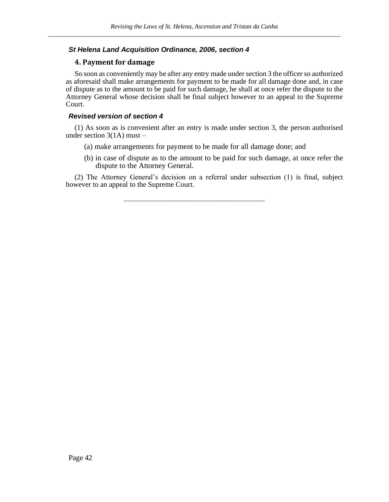#### *St Helena Land Acquisition Ordinance, 2006, section 4*

#### **4. Payment for damage**

So soon as conveniently may be after any entry made under section 3 the officer so authorized as aforesaid shall make arrangements for payment to be made for all damage done and, in case of dispute as to the amount to be paid for such damage, he shall at once refer the dispute to the Attorney General whose decision shall be final subject however to an appeal to the Supreme Court.

#### *Revised version of section 4*

(1) As soon as is convenient after an entry is made under section 3, the person authorised under section  $3(1A)$  must –

- (a) make arrangements for payment to be made for all damage done; and
- (b) in case of dispute as to the amount to be paid for such damage, at once refer the dispute to the Attorney General.

(2) The Attorney General's decision on a referral under subsection (1) is final, subject however to an appeal to the Supreme Court.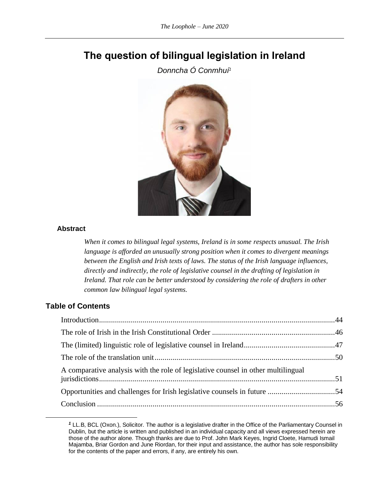# **The question of bilingual legislation in Ireland**

*Donncha Ó Conmhuí<sup>1</sup>*



#### **Abstract**

*When it comes to bilingual legal systems, Ireland is in some respects unusual. The Irish language is afforded an unusually strong position when it comes to divergent meanings*  between the English and Irish texts of laws. The status of the Irish language influences, *directly and indirectly, the role of legislative counsel in the drafting of legislation in Ireland. That role can be better understood by considering the role of drafters in other common law bilingual legal systems.*

# **Table of Contents**

| A comparative analysis with the role of legislative counsel in other multilingual |  |
|-----------------------------------------------------------------------------------|--|
|                                                                                   |  |
|                                                                                   |  |

<span id="page-46-0"></span>*<sup>1</sup>* LL.B, BCL (Oxon.), Solicitor. The author is a legislative drafter in the Office of the Parliamentary Counsel in Dublin, but the article is written and published in an individual capacity and all views expressed herein are those of the author alone. Though thanks are due to Prof. John Mark Keyes, Ingrid Cloete, Hamudi Ismail Majamba, Briar Gordon and June Riordan, for their input and assistance, the author has sole responsibility for the contents of the paper and errors, if any, are entirely his own.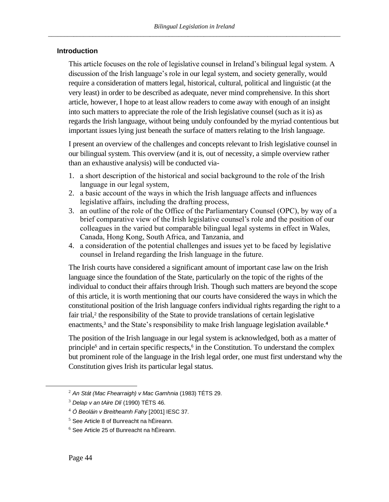# **Introduction**

This article focuses on the role of legislative counsel in Ireland's bilingual legal system. A discussion of the Irish language's role in our legal system, and society generally, would require a consideration of matters legal, historical, cultural, political and linguistic (at the very least) in order to be described as adequate, never mind comprehensive. In this short article, however, I hope to at least allow readers to come away with enough of an insight into such matters to appreciate the role of the Irish legislative counsel (such as it is) as regards the Irish language, without being unduly confounded by the myriad contentious but important issues lying just beneath the surface of matters relating to the Irish language.

I present an overview of the challenges and concepts relevant to Irish legislative counsel in our bilingual system. This overview (and it is, out of necessity, a simple overview rather than an exhaustive analysis) will be conducted via-

- 1. a short description of the historical and social background to the role of the Irish language in our legal system,
- 2. a basic account of the ways in which the Irish language affects and influences legislative affairs, including the drafting process,
- 3. an outline of the role of the Office of the Parliamentary Counsel (OPC), by way of a brief comparative view of the Irish legislative counsel's role and the position of our colleagues in the varied but comparable bilingual legal systems in effect in Wales, Canada, Hong Kong, South Africa, and Tanzania, and
- 4. a consideration of the potential challenges and issues yet to be faced by legislative counsel in Ireland regarding the Irish language in the future.

The Irish courts have considered a significant amount of important case law on the Irish language since the foundation of the State, particularly on the topic of the rights of the individual to conduct their affairs through Irish. Though such matters are beyond the scope of this article, it is worth mentioning that our courts have considered the ways in which the constitutional position of the Irish language confers individual rights regarding the right to a fair trial,<sup>2</sup> the responsibility of the State to provide translations of certain legislative enactments,<sup>3</sup> and the State's responsibility to make Irish language legislation available.<sup>4</sup>

<span id="page-47-1"></span><span id="page-47-0"></span>The position of the Irish language in our legal system is acknowledged, both as a matter of principle<sup>5</sup> and in certain specific respects,<sup>6</sup> in the Constitution. To understand the complex but prominent role of the language in the Irish legal order, one must first understand why the Constitution gives Irish its particular legal status.

<sup>2</sup> *An Stát (Mac Fhearraigh) v Mac Gamhnia* (1983) TÉTS 29.

<sup>3</sup> *Delap v an tAire Dlí* (1990) TÉTS 46.

<sup>4</sup> *Ó Beoláin v Breitheamh Fahy* [2001] IESC 37.

<sup>5</sup> See Article 8 of Bunreacht na hÉireann.

 $6$  See Article 25 of Bunreacht na hÉireann.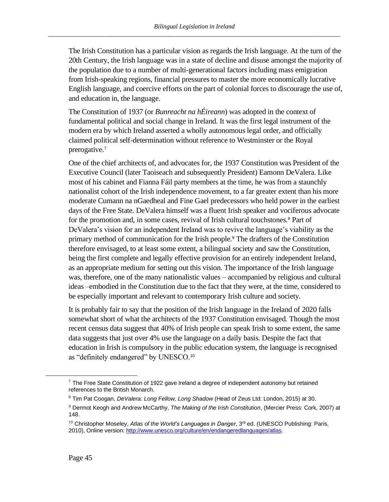The Irish Constitution has a particular vision as regards the Irish language. At the turn of the 20th Century, the Irish language was in a state of decline and disuse amongst the majority of the population due to a number of multi-generational factors including mass emigration from Irish-speaking regions, financial pressures to master the more economically lucrative English language, and coercive efforts on the part of colonial forces to discourage the use of, and education in, the language.

The Constitution of 1937 (or *Bunreacht na hÉireann*) was adopted in the context of fundamental political and social change in Ireland. It was the first legal instrument of the modern era by which Ireland asserted a wholly autonomous legal order, and officially claimed political self-determination without reference to Westminster or the Royal prerogative.<sup>7</sup>

One of the chief architects of, and advocates for, the 1937 Constitution was President of the Executive Council (later Taoiseach and subsequently President) Eamonn DeValera. Like most of his cabinet and Fianna Fáil party members at the time, he was from a staunchly nationalist cohort of the Irish independence movement, to a far greater extent than his more moderate Cumann na nGaedheal and Fine Gael predecessors who held power in the earliest days of the Free State. DeValera himself was a fluent Irish speaker and vociferous advocate for the promotion and, in some cases, revival of Irish cultural touchstones.<sup>8</sup> Part of DeValera's vision for an independent Ireland was to revive the language's viability as the primary method of communication for the Irish people.<sup>9</sup> The drafters of the Constitution therefore envisaged, to at least some extent, a bilingual society and saw the Constitution, being the first complete and legally effective provision for an entirely independent Ireland, as an appropriate medium for setting out this vision. The importance of the Irish language was, therefore, one of the many nationalistic values – accompanied by religious and cultural ideas –embodied in the Constitution due to the fact that they were, at the time, considered to be especially important and relevant to contemporary Irish culture and society.

It is probably fair to say that the position of the Irish language in the Ireland of 2020 falls somewhat short of what the architects of the 1937 Constitution envisaged. Though the most recent census data suggest that 40% of Irish people can speak Irish to some extent, the same data suggests that just over 4% use the language on a daily basis. Despite the fact that education in Irish is compulsory in the public education system, the language is recognised as "definitely endangered" by UNESCO.<sup>10</sup>

 $7$  The Free State Constitution of 1922 gave Ireland a degree of independent autonomy but retained references to the British Monarch.

<sup>8</sup> Tim Pat Coogan, *DeValera: Long Fellow, Long Shadow* (Head of Zeus Ltd: London, 2015) at 30.

<sup>9</sup> Dermot Keogh and Andrew McCarthy, *The Making of the Irish Constitution*, (Mercier Press: Cork, 2007) at 148.

<sup>&</sup>lt;sup>10</sup> Christopher Moseley, Atlas of the World's Languages in Danger, 3<sup>rd</sup> ed. (UNESCO Publishing: Paris, 2010), Online version[: http://www.unesco.org/culture/en/endangeredlanguages/atlas.](http://www.unesco.org/culture/en/endangeredlanguages/atlas)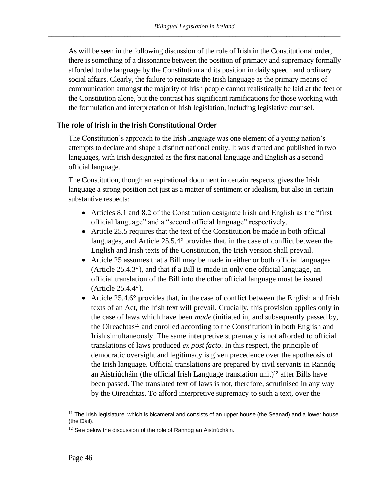As will be seen in the following discussion of the role of Irish in the Constitutional order, there is something of a dissonance between the position of primacy and supremacy formally afforded to the language by the Constitution and its position in daily speech and ordinary social affairs. Clearly, the failure to reinstate the Irish language as the primary means of communication amongst the majority of Irish people cannot realistically be laid at the feet of the Constitution alone, but the contrast has significant ramifications for those working with the formulation and interpretation of Irish legislation, including legislative counsel.

#### <span id="page-49-0"></span>**The role of Irish in the Irish Constitutional Order**

The Constitution's approach to the Irish language was one element of a young nation's attempts to declare and shape a distinct national entity. It was drafted and published in two languages, with Irish designated as the first national language and English as a second official language.

The Constitution, though an aspirational document in certain respects, gives the Irish language a strong position not just as a matter of sentiment or idealism, but also in certain substantive respects:

- Articles 8.1 and 8.2 of the Constitution designate Irish and English as the "first official language" and a "second official language" respectively.
- Article 25.5 requires that the text of the Constitution be made in both official languages, and Article 25.5.4° provides that, in the case of conflict between the English and Irish texts of the Constitution, the Irish version shall prevail.
- Article 25 assumes that a Bill may be made in either or both official languages (Article 25.4.3°), and that if a Bill is made in only one official language, an official translation of the Bill into the other official language must be issued (Article 25.4.4°).
- Article 25.4.6° provides that, in the case of conflict between the English and Irish texts of an Act, the Irish text will prevail. Crucially, this provision applies only in the case of laws which have been *made* (initiated in, and subsequently passed by, the Oireachtas<sup>11</sup> and enrolled according to the Constitution) in both English and Irish simultaneously. The same interpretive supremacy is not afforded to official translations of laws produced *ex post facto*. In this respect, the principle of democratic oversight and legitimacy is given precedence over the apotheosis of the Irish language. Official translations are prepared by civil servants in Rannóg an Aistriúcháin (the official Irish Language translation unit)<sup>12</sup> after Bills have been passed. The translated text of laws is not, therefore, scrutinised in any way by the Oireachtas. To afford interpretive supremacy to such a text, over the

 $11$  The Irish legislature, which is bicameral and consists of an upper house (the Seanad) and a lower house (the Dáil).

 $12$  See below the discussion of the role of Rannóg an Aistriúcháin.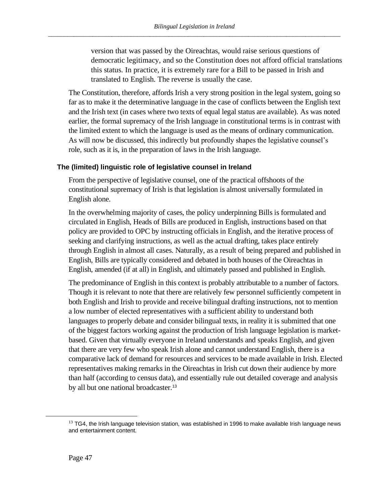version that was passed by the Oireachtas, would raise serious questions of democratic legitimacy, and so the Constitution does not afford official translations this status. In practice, it is extremely rare for a Bill to be passed in Irish and translated to English. The reverse is usually the case.

The Constitution, therefore, affords Irish a very strong position in the legal system, going so far as to make it the determinative language in the case of conflicts between the English text and the Irish text (in cases where two texts of equal legal status are available). As was noted earlier, the formal supremacy of the Irish language in constitutional terms is in contrast with the limited extent to which the language is used as the means of ordinary communication. As will now be discussed, this indirectly but profoundly shapes the legislative counsel's role, such as it is, in the preparation of laws in the Irish language.

# <span id="page-50-0"></span>**The (limited) linguistic role of legislative counsel in Ireland**

From the perspective of legislative counsel, one of the practical offshoots of the constitutional supremacy of Irish is that legislation is almost universally formulated in English alone.

In the overwhelming majority of cases, the policy underpinning Bills is formulated and circulated in English, Heads of Bills are produced in English, instructions based on that policy are provided to OPC by instructing officials in English, and the iterative process of seeking and clarifying instructions, as well as the actual drafting, takes place entirely through English in almost all cases. Naturally, as a result of being prepared and published in English, Bills are typically considered and debated in both houses of the Oireachtas in English, amended (if at all) in English, and ultimately passed and published in English.

The predominance of English in this context is probably attributable to a number of factors. Though it is relevant to note that there are relatively few personnel sufficiently competent in both English and Irish to provide and receive bilingual drafting instructions, not to mention a low number of elected representatives with a sufficient ability to understand both languages to properly debate and consider bilingual texts, in reality it is submitted that one of the biggest factors working against the production of Irish language legislation is marketbased. Given that virtually everyone in Ireland understands and speaks English, and given that there are very few who speak Irish alone and cannot understand English, there is a comparative lack of demand for resources and services to be made available in Irish. Elected representatives making remarks in the Oireachtas in Irish cut down their audience by more than half (according to census data), and essentially rule out detailed coverage and analysis by all but one national broadcaster.<sup>13</sup>

 $13$  TG4, the Irish language television station, was established in 1996 to make available Irish language news and entertainment content.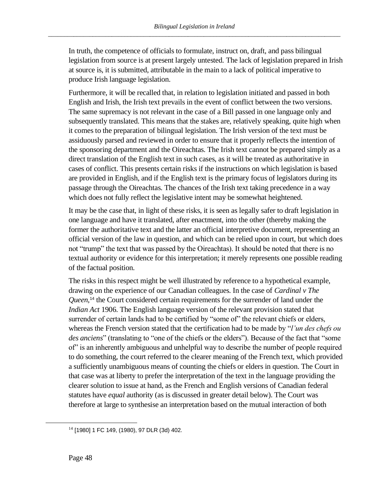In truth, the competence of officials to formulate, instruct on, draft, and pass bilingual legislation from source is at present largely untested. The lack of legislation prepared in Irish at source is, it is submitted, attributable in the main to a lack of political imperative to produce Irish language legislation.

Furthermore, it will be recalled that, in relation to legislation initiated and passed in both English and Irish, the Irish text prevails in the event of conflict between the two versions. The same supremacy is not relevant in the case of a Bill passed in one language only and subsequently translated. This means that the stakes are, relatively speaking, quite high when it comes to the preparation of bilingual legislation. The Irish version of the text must be assiduously parsed and reviewed in order to ensure that it properly reflects the intention of the sponsoring department and the Oireachtas. The Irish text cannot be prepared simply as a direct translation of the English text in such cases, as it will be treated as authoritative in cases of conflict. This presents certain risks if the instructions on which legislation is based are provided in English, and if the English text is the primary focus of legislators during its passage through the Oireachtas. The chances of the Irish text taking precedence in a way which does not fully reflect the legislative intent may be somewhat heightened.

It may be the case that, in light of these risks, it is seen as legally safer to draft legislation in one language and have it translated, after enactment, into the other (thereby making the former the authoritative text and the latter an official interpretive document, representing an official version of the law in question, and which can be relied upon in court, but which does not "trump" the text that was passed by the Oireachtas). It should be noted that there is no textual authority or evidence for this interpretation; it merely represents one possible reading of the factual position.

The risks in this respect might be well illustrated by reference to a hypothetical example, drawing on the experience of our Canadian colleagues. In the case of *Cardinal v The*  Queen,<sup>14</sup> the Court considered certain requirements for the surrender of land under the *Indian Act* 1906. The English language version of the relevant provision stated that surrender of certain lands had to be certified by "some of" the relevant chiefs or elders, whereas the French version stated that the certification had to be made by "*l'un des chefs ou des anciens*" (translating to "one of the chiefs or the elders"). Because of the fact that "some of" is an inherently ambiguous and unhelpful way to describe the number of people required to do something, the court referred to the clearer meaning of the French text, which provided a sufficiently unambiguous means of counting the chiefs or elders in question. The Court in that case was at liberty to prefer the interpretation of the text in the language providing the clearer solution to issue at hand, as the French and English versions of Canadian federal statutes have *equal* authority (as is discussed in greater detail below). The Court was therefore at large to synthesise an interpretation based on the mutual interaction of both

<sup>14</sup> [1980] 1 FC 149, (1980), 97 DLR (3d) 402.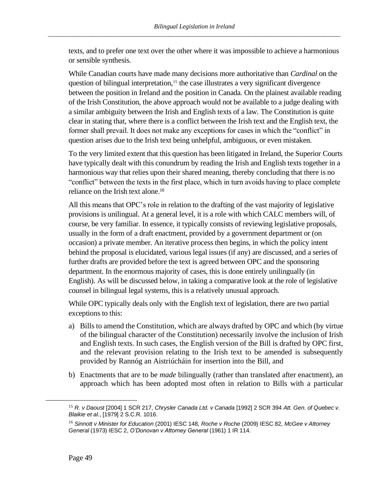texts, and to prefer one text over the other where it was impossible to achieve a harmonious or sensible synthesis.

While Canadian courts have made many decisions more authoritative than *Cardinal* on the question of bilingual interpretation,<sup>15</sup> the case illustrates a very significant divergence between the position in Ireland and the position in Canada. On the plainest available reading of the Irish Constitution, the above approach would not be available to a judge dealing with a similar ambiguity between the Irish and English texts of a law. The Constitution is quite clear in stating that, where there is a conflict between the Irish text and the English text, the former shall prevail. It does not make any exceptions for cases in which the "conflict" in question arises due to the Irish text being unhelpful, ambiguous, or even mistaken.

To the very limited extent that this question has been litigated in Ireland, the Superior Courts have typically dealt with this conundrum by reading the Irish and English texts together in a harmonious way that relies upon their shared meaning, thereby concluding that there is no "conflict" between the texts in the first place, which in turn avoids having to place complete reliance on the Irish text alone.<sup>16</sup>

All this means that OPC's role in relation to the drafting of the vast majority of legislative provisions is unilingual. At a general level, it is a role with which CALC members will, of course, be very familiar. In essence, it typically consists of reviewing legislative proposals, usually in the form of a draft enactment, provided by a government department or (on occasion) a private member. An iterative process then begins, in which the policy intent behind the proposal is elucidated, various legal issues (if any) are discussed, and a series of further drafts are provided before the text is agreed between OPC and the sponsoring department. In the enormous majority of cases, this is done entirely unilingually (in English). As will be discussed below, in taking a comparative look at the role of legislative counsel in bilingual legal systems, this is a relatively unusual approach.

While OPC typically deals only with the English text of legislation, there are two partial exceptions to this:

- a) Bills to amend the Constitution, which are always drafted by OPC and which (by virtue of the bilingual character of the Constitution) necessarily involve the inclusion of Irish and English texts. In such cases, the English version of the Bill is drafted by OPC first, and the relevant provision relating to the Irish text to be amended is subsequently provided by Rannóg an Aistriúcháin for insertion into the Bill, and
- b) Enactments that are to be *made* bilingually (rather than translated after enactment), an approach which has been adopted most often in relation to Bills with a particular

<sup>15</sup> *R. v Daoust* [2004] 1 SCR 217, *Chrysler Canada Ltd. v Canada* [1992] 2 SCR 394 *Att. Gen. of Quebec v. Blaikie et al*., [1979] 2 S.C.R. 1016.

<sup>16</sup> *Sinnott v Minister for Education* (2001) IESC 148, *Roche v Roche* (2009) IESC 82*, McGee v Attorney General* (1973) IESC 2, *O'Donovan v Attorney General* (1961) 1 IR 114.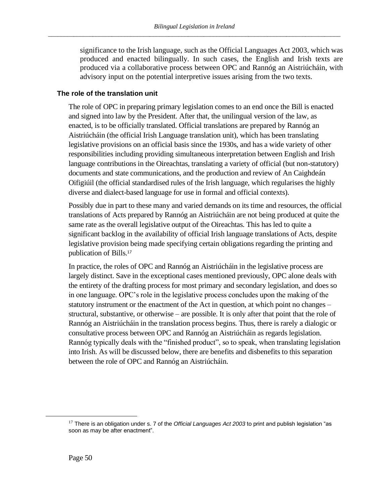significance to the Irish language, such as the Official Languages Act 2003, which was produced and enacted bilingually. In such cases, the English and Irish texts are produced via a collaborative process between OPC and Rannóg an Aistriúcháin, with advisory input on the potential interpretive issues arising from the two texts.

# <span id="page-53-0"></span>**The role of the translation unit**

The role of OPC in preparing primary legislation comes to an end once the Bill is enacted and signed into law by the President. After that, the unilingual version of the law, as enacted, is to be officially translated. Official translations are prepared by Rannóg an Aistriúcháin (the official Irish Language translation unit), which has been translating legislative provisions on an official basis since the 1930s, and has a wide variety of other responsibilities including providing simultaneous interpretation between English and Irish language contributions in the Oireachtas, translating a variety of official (but non-statutory) documents and state communications, and the production and review of An Caighdeán Oifigiúil (the official standardised rules of the Irish language, which regularises the highly diverse and dialect-based language for use in formal and official contexts).

Possibly due in part to these many and varied demands on its time and resources, the official translations of Acts prepared by Rannóg an Aistriúcháin are not being produced at quite the same rate as the overall legislative output of the Oireachtas. This has led to quite a significant backlog in the availability of official Irish language translations of Acts, despite legislative provision being made specifying certain obligations regarding the printing and publication of Bills.<sup>17</sup>

In practice, the roles of OPC and Rannóg an Aistriúcháin in the legislative process are largely distinct. Save in the exceptional cases mentioned previously, OPC alone deals with the entirety of the drafting process for most primary and secondary legislation, and does so in one language. OPC's role in the legislative process concludes upon the making of the statutory instrument or the enactment of the Act in question, at which point no changes – structural, substantive, or otherwise – are possible. It is only after that point that the role of Rannóg an Aistriúcháin in the translation process begins. Thus, there is rarely a dialogic or consultative process between OPC and Rannóg an Aistriúcháin as regards legislation. Rannóg typically deals with the "finished product", so to speak, when translating legislation into Irish. As will be discussed below, there are benefits and disbenefits to this separation between the role of OPC and Rannóg an Aistriúcháin.

<sup>&</sup>lt;sup>17</sup> There is an obligation under s. 7 of the *Official Languages Act 2003* to print and publish legislation "as soon as may be after enactment".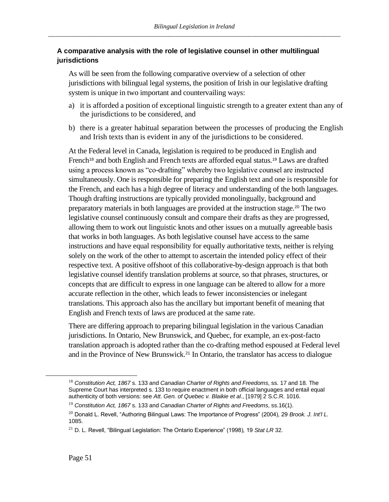# <span id="page-54-0"></span>**A comparative analysis with the role of legislative counsel in other multilingual jurisdictions**

As will be seen from the following comparative overview of a selection of other jurisdictions with bilingual legal systems, the position of Irish in our legislative drafting system is unique in two important and countervailing ways:

- a) it is afforded a position of exceptional linguistic strength to a greater extent than any of the jurisdictions to be considered, and
- b) there is a greater habitual separation between the processes of producing the English and Irish texts than is evident in any of the jurisdictions to be considered.

At the Federal level in Canada, legislation is required to be produced in English and French<sup>18</sup> and both English and French texts are afforded equal status.<sup>19</sup> Laws are drafted using a process known as "co-drafting" whereby two legislative counsel are instructed simultaneously. One is responsible for preparing the English text and one is responsible for the French, and each has a high degree of literacy and understanding of the both languages. Though drafting instructions are typically provided monolingually, background and preparatory materials in both languages are provided at the instruction stage.<sup>20</sup> The two legislative counsel continuously consult and compare their drafts as they are progressed, allowing them to work out linguistic knots and other issues on a mutually agreeable basis that works in both languages. As both legislative counsel have access to the same instructions and have equal responsibility for equally authoritative texts, neither is relying solely on the work of the other to attempt to ascertain the intended policy effect of their respective text. A positive offshoot of this collaborative-by-design approach is that both legislative counsel identify translation problems at source, so that phrases, structures, or concepts that are difficult to express in one language can be altered to allow for a more accurate reflection in the other, which leads to fewer inconsistencies or inelegant translations. This approach also has the ancillary but important benefit of meaning that English and French texts of laws are produced at the same rate.

There are differing approach to preparing bilingual legislation in the various Canadian jurisdictions. In Ontario, New Brunswick, and Quebec, for example, an ex-post-facto translation approach is adopted rather than the co-drafting method espoused at Federal level and in the Province of New Brunswick.<sup>21</sup> In Ontario, the translator has access to dialogue

<sup>18</sup> *Constitution Act, 1867* s. 133 and *Canadian Charter of Rights and Freedoms*, ss. 17 and 18. The Supreme Court has interpreted s. 133 to require enactment in both official languages and entail equal authenticity of both versions: see *Att. Gen. of Quebec v. Blaikie et al*., [1979] 2 S.C.R. 1016.

<sup>19</sup> *Constitution Act, 1867* s. 133 and *Canadian Charter of Rights and Freedoms*, ss.16(1).

<sup>20</sup> Donald L. Revell, "Authoring Bilingual Laws: The Importance of Progress" (2004), 29 *Brook. J. Int'l L*. 1085.

<sup>21</sup> D. L. Revell, "Bilingual Legislation: The Ontario Experience" (1998), 19 *Stat LR* 32.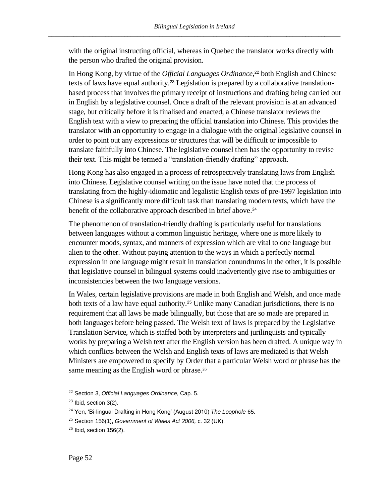with the original instructing official, whereas in Quebec the translator works directly with the person who drafted the original provision.

In Hong Kong, by virtue of the *Official Languages Ordinance*, <sup>22</sup> both English and Chinese texts of laws have equal authority.<sup>23</sup> Legislation is prepared by a collaborative translationbased process that involves the primary receipt of instructions and drafting being carried out in English by a legislative counsel. Once a draft of the relevant provision is at an advanced stage, but critically before it is finalised and enacted, a Chinese translator reviews the English text with a view to preparing the official translation into Chinese. This provides the translator with an opportunity to engage in a dialogue with the original legislative counsel in order to point out any expressions or structures that will be difficult or impossible to translate faithfully into Chinese. The legislative counsel then has the opportunity to revise their text. This might be termed a "translation-friendly drafting" approach.

Hong Kong has also engaged in a process of retrospectively translating laws from English into Chinese. Legislative counsel writing on the issue have noted that the process of translating from the highly-idiomatic and legalistic English texts of pre-1997 legislation into Chinese is a significantly more difficult task than translating modern texts, which have the benefit of the collaborative approach described in brief above. 24

The phenomenon of translation-friendly drafting is particularly useful for translations between languages without a common linguistic heritage, where one is more likely to encounter moods, syntax, and manners of expression which are vital to one language but alien to the other. Without paying attention to the ways in which a perfectly normal expression in one language might result in translation conundrums in the other, it is possible that legislative counsel in bilingual systems could inadvertently give rise to ambiguities or inconsistencies between the two language versions.

In Wales, certain legislative provisions are made in both English and Welsh, and once made both texts of a law have equal authority.<sup>25</sup> Unlike many Canadian jurisdictions, there is no requirement that all laws be made bilingually, but those that are so made are prepared in both languages before being passed. The Welsh text of laws is prepared by the Legislative Translation Service, which is staffed both by interpreters and jurilinguists and typically works by preparing a Welsh text after the English version has been drafted. A unique way in which conflicts between the Welsh and English texts of laws are mediated is that Welsh Ministers are empowered to specify by Order that a particular Welsh word or phrase has the same meaning as the English word or phrase.<sup>26</sup>

<sup>22</sup> Section 3, *Official Languages Ordinance*, Cap. 5.

 $23$  Ibid, section 3(2).

<sup>24</sup> Yen, 'Bi-lingual Drafting in Hong Kong' (August 2010) *The Loophole* 65.

<sup>25</sup> Section 156(1), *Government of Wales Act 2006,* c. 32 (UK).

 $26$  Ibid, section 156(2).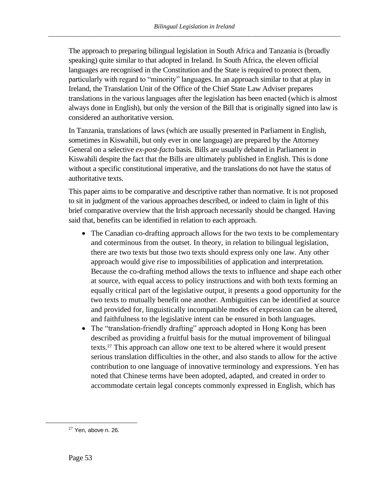The approach to preparing bilingual legislation in South Africa and Tanzania is (broadly speaking) quite similar to that adopted in Ireland. In South Africa, the eleven official languages are recognised in the Constitution and the State is required to protect them, particularly with regard to "minority" languages. In an approach similar to that at play in Ireland, the Translation Unit of the Office of the Chief State Law Adviser prepares translations in the various languages after the legislation has been enacted (which is almost always done in English), but only the version of the Bill that is originally signed into law is considered an authoritative version.

In Tanzania, translations of laws (which are usually presented in Parliament in English, sometimes in Kiswahili, but only ever in one language) are prepared by the Attorney General on a selective *ex-post-facto* basis. Bills are usually debated in Parliament in Kiswahili despite the fact that the Bills are ultimately published in English. This is done without a specific constitutional imperative, and the translations do not have the status of authoritative texts.

This paper aims to be comparative and descriptive rather than normative. It is not proposed to sit in judgment of the various approaches described, or indeed to claim in light of this brief comparative overview that the Irish approach necessarily should be changed. Having said that, benefits can be identified in relation to each approach.

- The Canadian co-drafting approach allows for the two texts to be complementary and coterminous from the outset. In theory, in relation to bilingual legislation, there are two texts but those two texts should express only one law. Any other approach would give rise to impossibilities of application and interpretation. Because the co-drafting method allows the texts to influence and shape each other at source, with equal access to policy instructions and with both texts forming an equally critical part of the legislative output, it presents a good opportunity for the two texts to mutually benefit one another. Ambiguities can be identified at source and provided for, linguistically incompatible modes of expression can be altered, and faithfulness to the legislative intent can be ensured in both languages.
- The "translation-friendly drafting" approach adopted in Hong Kong has been described as providing a fruitful basis for the mutual improvement of bilingual texts.<sup>27</sup> This approach can allow one text to be altered where it would present serious translation difficulties in the other, and also stands to allow for the active contribution to one language of innovative terminology and expressions. Yen has noted that Chinese terms have been adopted, adapted, and created in order to accommodate certain legal concepts commonly expressed in English, which has

 $27$  Yen, above n. 26.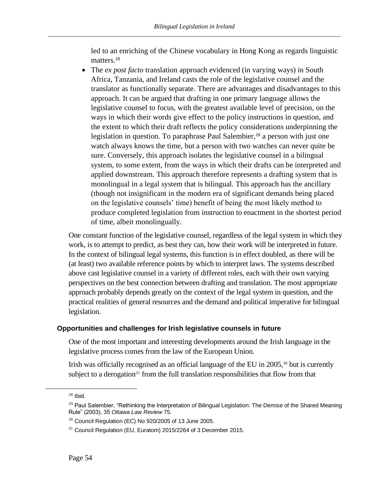led to an enriching of the Chinese vocabulary in Hong Kong as regards linguistic matters.<sup>28</sup>

• The *ex post facto* translation approach evidenced (in varying ways) in South Africa, Tanzania, and Ireland casts the role of the legislative counsel and the translator as functionally separate. There are advantages and disadvantages to this approach. It can be argued that drafting in one primary language allows the legislative counsel to focus, with the greatest available level of precision, on the ways in which their words give effect to the policy instructions in question, and the extent to which their draft reflects the policy considerations underpinning the legislation in question. To paraphrase Paul Salembier,<sup>29</sup> a person with just one watch always knows the time, but a person with two watches can never quite be sure. Conversely, this approach isolates the legislative counsel in a bilingual system, to some extent, from the ways in which their drafts can be interpreted and applied downstream. This approach therefore represents a drafting system that is monolingual in a legal system that is bilingual. This approach has the ancillary (though not insignificant in the modern era of significant demands being placed on the legislative counsels' time) benefit of being the most likely method to produce completed legislation from instruction to enactment in the shortest period of time, albeit monolingually.

One constant function of the legislative counsel, regardless of the legal system in which they work, is to attempt to predict, as best they can, how their work will be interpreted in future. In the context of bilingual legal systems, this function is in effect doubled, as there will be (at least) two available reference points by which to interpret laws. The systems described above cast legislative counsel in a variety of different roles, each with their own varying perspectives on the best connection between drafting and translation. The most appropriate approach probably depends greatly on the context of the legal system in question, and the practical realities of general resources and the demand and political imperative for bilingual legislation.

# <span id="page-57-0"></span>**Opportunities and challenges for Irish legislative counsels in future**

One of the most important and interesting developments around the Irish language in the legislative process comes from the law of the European Union.

Irish was officially recognised as an official language of the EU in 2005,<sup>30</sup> but is currently subject to a derogation<sup>31</sup> from the full translation responsibilities that flow from that

 $28$  Ibid.

<sup>&</sup>lt;sup>29</sup> Paul Salembier, "Rethinking the Interpretation of Bilingual Legislation: The Demise of the Shared Meaning Rule" (2003), 35 *Ottawa Law Review* 75.

 $30$  Council Regulation (EC) No 920/2005 of 13 June 2005.

 $31$  Council Regulation (EU, Euratom) 2015/2264 of 3 December 2015.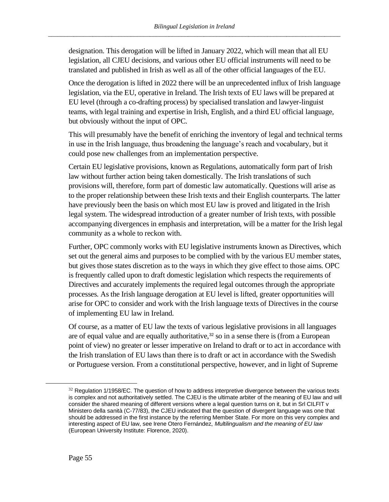designation. This derogation will be lifted in January 2022, which will mean that all EU legislation, all CJEU decisions, and various other EU official instruments will need to be translated and published in Irish as well as all of the other official languages of the EU.

Once the derogation is lifted in 2022 there will be an unprecedented influx of Irish language legislation, via the EU, operative in Ireland. The Irish texts of EU laws will be prepared at EU level (through a co-drafting process) by specialised translation and lawyer-linguist teams, with legal training and expertise in Irish, English, and a third EU official language, but obviously without the input of OPC.

This will presumably have the benefit of enriching the inventory of legal and technical terms in use in the Irish language, thus broadening the language's reach and vocabulary, but it could pose new challenges from an implementation perspective.

Certain EU legislative provisions, known as Regulations, automatically form part of Irish law without further action being taken domestically. The Irish translations of such provisions will, therefore, form part of domestic law automatically. Questions will arise as to the proper relationship between these Irish texts and their English counterparts. The latter have previously been the basis on which most EU law is proved and litigated in the Irish legal system. The widespread introduction of a greater number of Irish texts, with possible accompanying divergences in emphasis and interpretation, will be a matter for the Irish legal community as a whole to reckon with.

Further, OPC commonly works with EU legislative instruments known as Directives, which set out the general aims and purposes to be complied with by the various EU member states, but gives those states discretion as to the ways in which they give effect to those aims. OPC is frequently called upon to draft domestic legislation which respects the requirements of Directives and accurately implements the required legal outcomes through the appropriate processes. As the Irish language derogation at EU level is lifted, greater opportunities will arise for OPC to consider and work with the Irish language texts of Directives in the course of implementing EU law in Ireland.

Of course, as a matter of EU law the texts of various legislative provisions in all languages are of equal value and are equally authoritative,<sup>32</sup> so in a sense there is (from a European point of view) no greater or lesser imperative on Ireland to draft or to act in accordance with the Irish translation of EU laws than there is to draft or act in accordance with the Swedish or Portuguese version. From a constitutional perspective, however, and in light of Supreme

 $32$  Regulation 1/1958/EC. The question of how to address interpretive divergence between the various texts is complex and not authoritatively settled. The CJEU is the ultimate arbiter of the meaning of EU law and will consider the shared meaning of different versions where a legal question turns on it, but in Srl CILFIT v Ministero della sanità (C-77/83), the CJEU indicated that the question of divergent language was one that should be addressed in the first instance by the referring Member State. For more on this very complex and interesting aspect of EU law, see Irene Otero Fernández, *Multilingualism and the meaning of EU law* (European University Institute: Florence, 2020).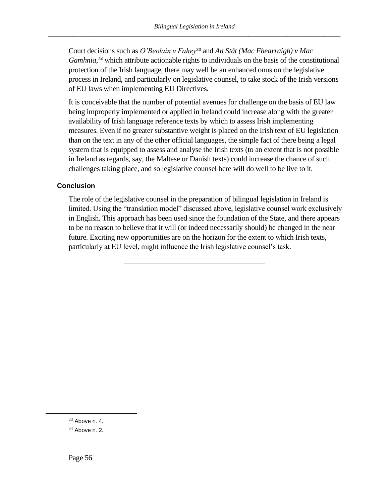Court decisions such as *O'Beolain v Fahey*<sup>33</sup> and *An Stát (Mac Fhearraigh) v Mac Gamhnia*, *<sup>34</sup>* which attribute actionable rights to individuals on the basis of the constitutional protection of the Irish language, there may well be an enhanced onus on the legislative process in Ireland, and particularly on legislative counsel, to take stock of the Irish versions of EU laws when implementing EU Directives.

It is conceivable that the number of potential avenues for challenge on the basis of EU law being improperly implemented or applied in Ireland could increase along with the greater availability of Irish language reference texts by which to assess Irish implementing measures. Even if no greater substantive weight is placed on the Irish text of EU legislation than on the text in any of the other official languages, the simple fact of there being a legal system that is equipped to assess and analyse the Irish texts (to an extent that is not possible in Ireland as regards, say, the Maltese or Danish texts) could increase the chance of such challenges taking place, and so legislative counsel here will do well to be live to it.

#### <span id="page-59-0"></span>**Conclusion**

The role of the legislative counsel in the preparation of bilingual legislation in Ireland is limited. Using the "translation model" discussed above, legislative counsel work exclusively in English. This approach has been used since the foundation of the State, and there appears to be no reason to believe that it will (or indeed necessarily should) be changed in the near future. Exciting new opportunities are on the horizon for the extent to which Irish texts, particularly at EU level, might influence the Irish legislative counsel's task.

<sup>33</sup> Above n. [4.](#page-47-0)

 $34$  Above n. [2.](#page-47-1)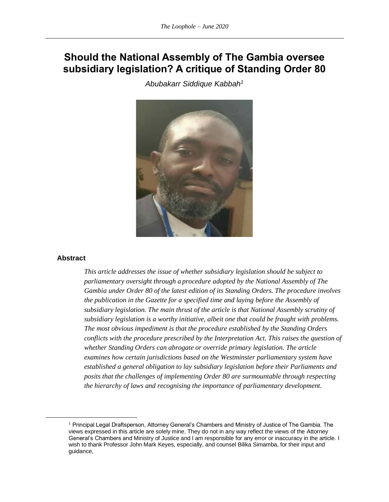# **Should the National Assembly of The Gambia oversee subsidiary legislation? A critique of Standing Order 80**

*Abubakarr Siddique Kabbah<sup>1</sup>*



#### **Abstract**

*This article addresses the issue of whether subsidiary legislation should be subject to parliamentary oversight through a procedure adopted by the National Assembly of The Gambia under Order 80 of the latest edition of its Standing Orders. The procedure involves the publication in the Gazette for a specified time and laying before the Assembly of subsidiary legislation. The main thrust of the article is that National Assembly scrutiny of subsidiary legislation is a worthy initiative, albeit one that could be fraught with problems. The most obvious impediment is that the procedure established by the Standing Orders conflicts with the procedure prescribed by the Interpretation Act. This raises the question of whether Standing Orders can abrogate or override primary legislation. The article examines how certain jurisdictions based on the Westminster parliamentary system have established a general obligation to lay subsidiary legislation before their Parliaments and posits that the challenges of implementing Order 80 are surmountable through respecting the hierarchy of laws and recognising the importance of parliamentary development.* 

<sup>&</sup>lt;sup>1</sup> Principal Legal Draftsperson, Attorney General's Chambers and Ministry of Justice of The Gambia. The views expressed in this article are solely mine. They do not in any way reflect the views of the Attorney General's Chambers and Ministry of Justice and I am responsible for any error or inaccuracy in the article. I wish to thank Professor John Mark Keyes, especially, and counsel Bilika Simamba, for their input and guidance,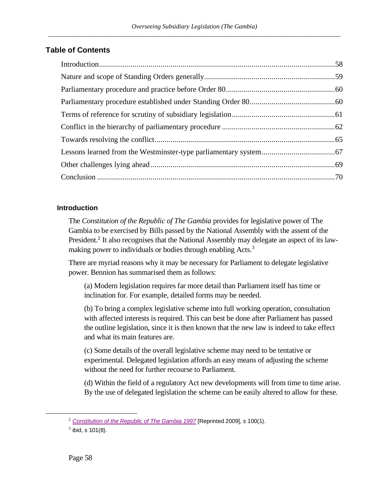# **Table of Contents**

# <span id="page-61-0"></span>**Introduction**

<span id="page-61-1"></span>The *Constitution of the Republic of The Gambia* provides for legislative power of The Gambia to be exercised by Bills passed by the National Assembly with the assent of the President.<sup>2</sup> It also recognises that the National Assembly may delegate an aspect of its lawmaking power to individuals or bodies through enabling Acts.<sup>3</sup>

There are myriad reasons why it may be necessary for Parliament to delegate legislative power. Bennion has summarised them as follows:

(a) Modern legislation requires far more detail than Parliament itself has time or inclination for. For example, detailed forms may be needed.

(b) To bring a complex legislative scheme into full working operation, consultation with affected interests is required. This can best be done after Parliament has passed the outline legislation, since it is then known that the new law is indeed to take effect and what its main features are.

(c) Some details of the overall legislative scheme may need to be tentative or experimental. Delegated legislation affords an easy means of adjusting the scheme without the need for further recourse to Parliament.

(d) Within the field of a regulatory Act new developments will from time to time arise. By the use of delegated legislation the scheme can be easily altered to allow for these.

<sup>2</sup> *[Constitution of the Republic of The Gambia 1997](https://www.lawhubgambia.com/1997-constitution)* [Reprinted 2009], s 100(1).

 $3$  ibid, s 101(8).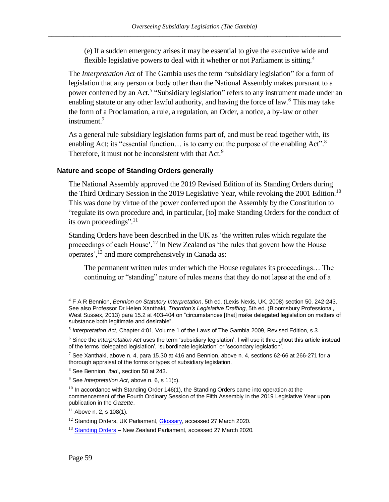<span id="page-62-2"></span><span id="page-62-1"></span>(e) If a sudden emergency arises it may be essential to give the executive wide and flexible legislative powers to deal with it whether or not Parliament is sitting.<sup>4</sup>

The *Interpretation Act* of The Gambia uses the term "subsidiary legislation" for a form of legislation that any person or body other than the National Assembly makes pursuant to a power conferred by an Act.<sup>5</sup> "Subsidiary legislation" refers to any instrument made under an enabling statute or any other lawful authority, and having the force of law.<sup>6</sup> This may take the form of a Proclamation, a rule, a regulation, an Order, a notice, a by-law or other instrument.<sup>7</sup>

As a general rule subsidiary legislation forms part of, and must be read together with, its enabling Act; its "essential function... is to carry out the purpose of the enabling Act".<sup>8</sup> Therefore, it must not be inconsistent with that Act.<sup>9</sup>

#### <span id="page-62-0"></span>**Nature and scope of Standing Orders generally**

The National Assembly approved the 2019 Revised Edition of its Standing Orders during the Third Ordinary Session in the 2019 Legislative Year, while revoking the 2001 Edition.<sup>10</sup> This was done by virtue of the power conferred upon the Assembly by the Constitution to "regulate its own procedure and, in particular, [to] make Standing Orders for the conduct of its own proceedings".<sup>11</sup>

Standing Orders have been described in the UK as 'the written rules which regulate the proceedings of each House', $^{12}$  in New Zealand as 'the rules that govern how the House operates',<sup>13</sup> and more comprehensively in Canada as:

The permanent written rules under which the House regulates its proceedings… The continuing or "standing" nature of rules means that they do not lapse at the end of a

<sup>4</sup> F A R Bennion, *Bennion on Statutory Interpretation*, 5th ed. (Lexis Nexis, UK, 2008) section 50, 242-243. See also Professor Dr Helen Xanthaki, *Thornton's Legislative Drafting*, 5th ed. (Bloomsbury Professional, West Sussex, 2013) para 15.2 at 403-404 on "circumstances [that] make delegated legislation on matters of substance both legitimate and desirable".

<sup>5</sup> *Interpretation Act*, Chapter 4:01, Volume 1 of the Laws of The Gambia 2009, Revised Edition, s 3.

<sup>6</sup> Since the *Interpretation Act* uses the term 'subsidiary legislation', I will use it throughout this article instead of the terms 'delegated legislation', 'subordinate legislation' or 'secondary legislation'.

 $^7$  See Xanthaki, above n[. 4,](#page-62-1) para 15.30 at 416 and Bennion, above n. [4,](#page-62-1) sections 62-66 at 266-271 for a thorough appraisal of the forms or types of subsidiary legislation.

<sup>8</sup> See Bennion, *ibid*., section 50 at 243.

<sup>9</sup> See *Interpretation Act*, above n. [6,](#page-62-2) s 11(c).

 $10$  In accordance with Standing Order 146(1), the Standing Orders came into operation at the commencement of the Fourth Ordinary Session of the Fifth Assembly in the 2019 Legislative Year upon publication in the *Gazette*.

 $11$  Above n. [2,](#page-61-1) s 108(1).

<sup>&</sup>lt;sup>12</sup> Standing Orders, UK Parliament, **Glossary**, accessed 27 March 2020.

 $13$  [Standing Orders](https://www.parliament.nz/en/pb/sc/scl/standing-orders/) – New Zealand Parliament, accessed 27 March 2020.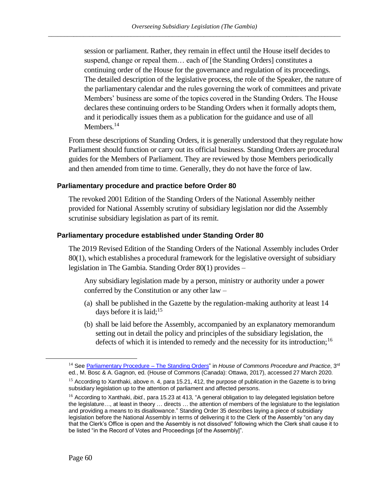session or parliament. Rather, they remain in effect until the House itself decides to suspend, change or repeal them… each of [the Standing Orders] constitutes a continuing order of the House for the governance and regulation of its proceedings. The detailed description of the legislative process, the role of the Speaker, the nature of the parliamentary calendar and the rules governing the work of committees and private Members' business are some of the topics covered in the Standing Orders. The House declares these continuing orders to be Standing Orders when it formally adopts them, and it periodically issues them as a publication for the guidance and use of all Members.<sup>14</sup>

<span id="page-63-2"></span>From these descriptions of Standing Orders, it is generally understood that they regulate how Parliament should function or carry out its official business. Standing Orders are procedural guides for the Members of Parliament. They are reviewed by those Members periodically and then amended from time to time. Generally, they do not have the force of law.

#### <span id="page-63-0"></span>**Parliamentary procedure and practice before Order 80**

The revoked 2001 Edition of the Standing Orders of the National Assembly neither provided for National Assembly scrutiny of subsidiary legislation nor did the Assembly scrutinise subsidiary legislation as part of its remit.

#### <span id="page-63-1"></span>**Parliamentary procedure established under Standing Order 80**

The 2019 Revised Edition of the Standing Orders of the National Assembly includes Order 80(1), which establishes a procedural framework for the legislative oversight of subsidiary legislation in The Gambia. Standing Order 80(1) provides –

Any subsidiary legislation made by a person, ministry or authority under a power conferred by the Constitution or any other law –

- (a) shall be published in the Gazette by the regulation-making authority at least 14 days before it is laid;  $15$
- (b) shall be laid before the Assembly, accompanied by an explanatory memorandum setting out in detail the policy and principles of the subsidiary legislation, the defects of which it is intended to remedy and the necessity for its introduction;<sup>16</sup>

<sup>&</sup>lt;sup>14</sup> Se[e Parliamentary Procedure –](https://www.ourcommons.ca/About/ProcedureAndPractice3rdEdition/ch_05_2-e.html) The Standing Orders" in House of Commons Procedure and Practice, 3<sup>rd</sup> ed., M. Bosc & A. Gagnon, ed. (House of Commons (Canada): Ottawa, 2017), accessed 27 March 2020.

<sup>&</sup>lt;sup>15</sup> According to Xanthaki, above n[. 4,](#page-62-1) para 15.21, 412, the purpose of publication in the Gazette is to bring subsidiary legislation up to the attention of parliament and affected persons.

<sup>16</sup> According to Xanthaki, *ibid.,* para 15.23 at 413, "A general obligation to lay delegated legislation before the legislature…, at least in theory … directs … the attention of members of the legislature to the legislation and providing a means to its disallowance." Standing Order 35 describes laying a piece of subsidiary legislation before the National Assembly in terms of delivering it to the Clerk of the Assembly "on any day that the Clerk's Office is open and the Assembly is not dissolved" following which the Clerk shall cause it to be listed "in the Record of Votes and Proceedings [of the Assembly]".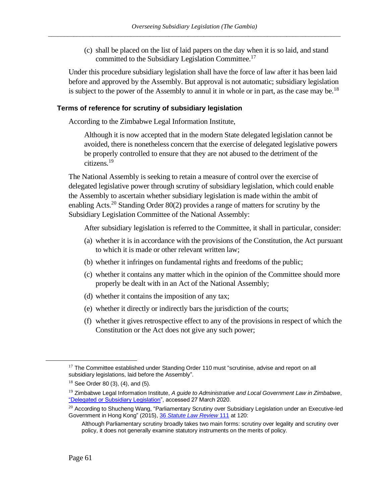(c) shall be placed on the list of laid papers on the day when it is so laid, and stand committed to the Subsidiary Legislation Committee.<sup>17</sup>

Under this procedure subsidiary legislation shall have the force of law after it has been laid before and approved by the Assembly. But approval is not automatic; subsidiary legislation is subject to the power of the Assembly to annul it in whole or in part, as the case may be.<sup>18</sup>

#### <span id="page-64-0"></span>**Terms of reference for scrutiny of subsidiary legislation**

According to the Zimbabwe Legal Information Institute,

<span id="page-64-1"></span>Although it is now accepted that in the modern State delegated legislation cannot be avoided, there is nonetheless concern that the exercise of delegated legislative powers be properly controlled to ensure that they are not abused to the detriment of the citizens.<sup>19</sup>

The National Assembly is seeking to retain a measure of control over the exercise of delegated legislative power through scrutiny of subsidiary legislation, which could enable the Assembly to ascertain whether subsidiary legislation is made within the ambit of enabling Acts.<sup>20</sup> Standing Order 80(2) provides a range of matters for scrutiny by the Subsidiary Legislation Committee of the National Assembly:

After subsidiary legislation is referred to the Committee, it shall in particular, consider:

- (a) whether it is in accordance with the provisions of the Constitution, the Act pursuant to which it is made or other relevant written law;
- (b) whether it infringes on fundamental rights and freedoms of the public;
- (c) whether it contains any matter which in the opinion of the Committee should more properly be dealt with in an Act of the National Assembly;
- (d) whether it contains the imposition of any tax;
- (e) whether it directly or indirectly bars the jurisdiction of the courts;
- (f) whether it gives retrospective effect to any of the provisions in respect of which the Constitution or the Act does not give any such power;

 $17$  The Committee established under Standing Order 110 must "scrutinise, advise and report on all subsidiary legislations, laid before the Assembly".

 $18$  See Order 80 (3), (4), and (5).

<sup>19</sup> Zimbabwe Legal Information Institute, *A guide to Administrative and Local Government Law in Zimbabwe*, ["Delegated or Subsidiary Legislation"](https://zimlii.org/content/delegated-or-subsidiary-legislation), accessed 27 March 2020.

 $^{20}$  According to Shucheng Wang, "Parliamentary Scrutiny over Subsidiary Legislation under an Executive-led Government in Hong Kong" (2015), 36 *[Statute Law Review](https://academic.oup.com/slr/article-abstract/36/2/111/1641600?redirectedFrom=fulltext)* 111 at 120:

Although Parliamentary scrutiny broadly takes two main forms: scrutiny over legality and scrutiny over policy, it does not generally examine statutory instruments on the merits of policy.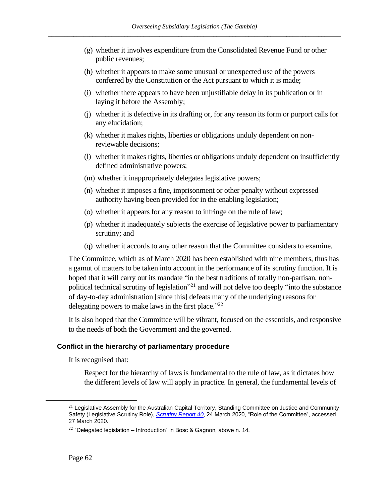- (g) whether it involves expenditure from the Consolidated Revenue Fund or other public revenues;
- (h) whether it appears to make some unusual or unexpected use of the powers conferred by the Constitution or the Act pursuant to which it is made;
- (i) whether there appears to have been unjustifiable delay in its publication or in laying it before the Assembly;
- (j) whether it is defective in its drafting or, for any reason its form or purport calls for any elucidation;
- (k) whether it makes rights, liberties or obligations unduly dependent on nonreviewable decisions;
- (l) whether it makes rights, liberties or obligations unduly dependent on insufficiently defined administrative powers;
- (m) whether it inappropriately delegates legislative powers;
- (n) whether it imposes a fine, imprisonment or other penalty without expressed authority having been provided for in the enabling legislation;
- (o) whether it appears for any reason to infringe on the rule of law;
- (p) whether it inadequately subjects the exercise of legislative power to parliamentary scrutiny; and
- (q) whether it accords to any other reason that the Committee considers to examine.

The Committee, which as of March 2020 has been established with nine members, thus has a gamut of matters to be taken into account in the performance of its scrutiny function. It is hoped that it will carry out its mandate "in the best traditions of totally non-partisan, nonpolitical technical scrutiny of legislation<sup>"21</sup> and will not delve too deeply "into the substance of day-to-day administration [since this] defeats many of the underlying reasons for delegating powers to make laws in the first place." $^{22}$ 

It is also hoped that the Committee will be vibrant, focused on the essentials, and responsive to the needs of both the Government and the governed.

#### <span id="page-65-0"></span>**Conflict in the hierarchy of parliamentary procedure**

It is recognised that:

Respect for the hierarchy of laws is fundamental to the rule of law, as it dictates how the different levels of law will apply in practice. In general, the fundamental levels of

 $21$  Legislative Assembly for the Australian Capital Territory, Standing Committee on Justice and Community Safety (Legislative Scrutiny Role), *[Scrutiny Report 40](https://www.parliament.act.gov.au/__data/assets/pdf_file/0020/1505540/Report-40.pdf)*, 24 March 2020, "Role of the Committee", accessed 27 March 2020.

<sup>22</sup> "Delegated legislation – Introduction" in Bosc & Gagnon, above n[. 14](#page-63-2)*.*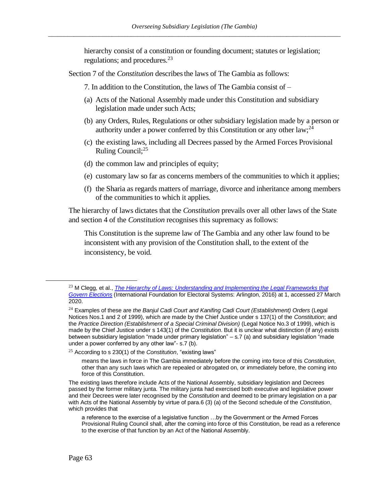hierarchy consist of a constitution or founding document; statutes or legislation; regulations; and procedures.<sup>23</sup>

Section 7 of the *Constitution* describes the laws of The Gambia as follows:

7. In addition to the Constitution, the laws of The Gambia consist of –

- (a) Acts of the National Assembly made under this Constitution and subsidiary legislation made under such Acts;
- (b) any Orders, Rules, Regulations or other subsidiary legislation made by a person or authority under a power conferred by this Constitution or any other  $law;^{24}$
- (c) the existing laws, including all Decrees passed by the Armed Forces Provisional Ruling Council;<sup>25</sup>
- (d) the common law and principles of equity;
- (e) customary law so far as concerns members of the communities to which it applies;
- (f) the Sharia as regards matters of marriage, divorce and inheritance among members of the communities to which it applies.

The hierarchy of laws dictates that the *Constitution* prevails over all other laws of the State and section 4 of the *Constitution* recognises this supremacy as follows:

This Constitution is the supreme law of The Gambia and any other law found to be inconsistent with any provision of the Constitution shall, to the extent of the inconsistency, be void.

<sup>23</sup> M Clegg, et al., *The Hierarchy of Laws: [Understanding and Implementing the Legal Frameworks that](https://www.ifes.org/sites/default/files/2016_ifes_hierarchy_of_laws.pdf)  [Govern Elections](https://www.ifes.org/sites/default/files/2016_ifes_hierarchy_of_laws.pdf)* (International Foundation for Electoral Systems: Arlington, 2016) at 1, accessed 27 March 2020.

<sup>24</sup> Examples of these are *the Banjul Cadi Court and Kanifing Cadi Court (Establishment) Orders* (Legal Notices Nos.1 and 2 of 1999), which are made by the Chief Justice under s 137(1) of the *Constitution*; and the *Practice Direction (Establishment of a Special Criminal Division)* (Legal Notice No.3 of 1999), which is made by the Chief Justice under s 143(1) of the *Constitution*. But it is unclear what distinction (if any) exists between subsidiary legislation "made under primary legislation" – s.7 (a) and subsidiary legislation "made under a power conferred by any other law"- s.7 (b).

<sup>25</sup> According to s 230(1) of the *Constitution*, "existing laws"

means the laws in force in The Gambia immediately before the coming into force of this *Constitution*, other than any such laws which are repealed or abrogated on, or immediately before, the coming into force of this Constitution.

The existing laws therefore include Acts of the National Assembly, subsidiary legislation and Decrees passed by the former military junta. The military junta had exercised both executive and legislative power and their Decrees were later recognised by the *Constitution* and deemed to be primary legislation on a par with Acts of the National Assembly by virtue of para.6 (3) (a) of the Second schedule of the *Constitution*, which provides that

a reference to the exercise of a legislative function …by the Government or the Armed Forces Provisional Ruling Council shall, after the coming into force of this Constitution, be read as a reference to the exercise of that function by an Act of the National Assembly.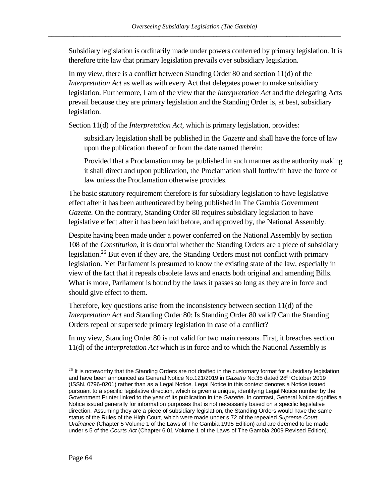Subsidiary legislation is ordinarily made under powers conferred by primary legislation. It is therefore trite law that primary legislation prevails over subsidiary legislation.

In my view, there is a conflict between Standing Order 80 and section 11(d) of the *Interpretation Act* as well as with every Act that delegates power to make subsidiary legislation. Furthermore, I am of the view that the *Interpretation Act* and the delegating Acts prevail because they are primary legislation and the Standing Order is, at best, subsidiary legislation.

Section 11(d) of the *Interpretation Act*, which is primary legislation, provides:

subsidiary legislation shall be published in the *Gazette* and shall have the force of law upon the publication thereof or from the date named therein:

Provided that a Proclamation may be published in such manner as the authority making it shall direct and upon publication, the Proclamation shall forthwith have the force of law unless the Proclamation otherwise provides.

The basic statutory requirement therefore is for subsidiary legislation to have legislative effect after it has been authenticated by being published in The Gambia Government *Gazette*. On the contrary, Standing Order 80 requires subsidiary legislation to have legislative effect after it has been laid before, and approved by, the National Assembly.

Despite having been made under a power conferred on the National Assembly by section 108 of the *Constitution*, it is doubtful whether the Standing Orders are a piece of subsidiary legislation.<sup>26</sup> But even if they are, the Standing Orders must not conflict with primary legislation. Yet Parliament is presumed to know the existing state of the law, especially in view of the fact that it repeals obsolete laws and enacts both original and amending Bills. What is more, Parliament is bound by the laws it passes so long as they are in force and should give effect to them.

Therefore, key questions arise from the inconsistency between section 11(d) of the *Interpretation Act* and Standing Order 80: Is Standing Order 80 valid? Can the Standing Orders repeal or supersede primary legislation in case of a conflict?

In my view, Standing Order 80 is not valid for two main reasons. First, it breaches section 11(d) of the *Interpretation Act* which is in force and to which the National Assembly is

 $26$  It is noteworthy that the Standing Orders are not drafted in the customary format for subsidiary legislation and have been announced as General Notice No.121/2019 in *Gazette* No.35 dated 28th October 2019 (ISSN. 0796-0201) rather than as a Legal Notice. Legal Notice in this context denotes a Notice issued pursuant to a specific legislative direction, which is given a unique, identifying Legal Notice number by the Government Printer linked to the year of its publication in the *Gazette*. In contrast, General Notice signifies a Notice issued generally for information purposes that is not necessarily based on a specific legislative direction. Assuming they are a piece of subsidiary legislation, the Standing Orders would have the same status of the Rules of the High Court, which were made under s 72 of the repealed *Supreme Court Ordinance* (Chapter 5 Volume 1 of the Laws of The Gambia 1995 Edition) and are deemed to be made under s 5 of the *Courts Act* (Chapter 6:01 Volume 1 of the Laws of The Gambia 2009 Revised Edition).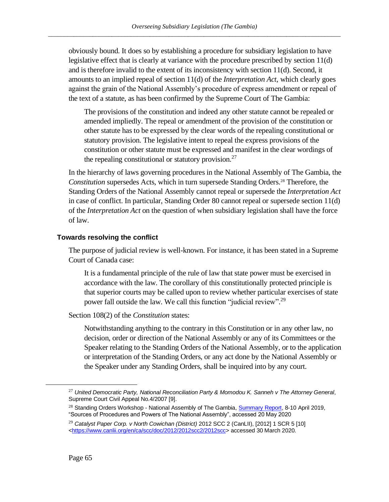obviously bound. It does so by establishing a procedure for subsidiary legislation to have legislative effect that is clearly at variance with the procedure prescribed by section 11(d) and is therefore invalid to the extent of its inconsistency with section 11(d). Second, it amounts to an implied repeal of section 11(d) of the *Interpretation Act*, which clearly goes against the grain of the National Assembly's procedure of express amendment or repeal of the text of a statute, as has been confirmed by the Supreme Court of The Gambia:

<span id="page-68-1"></span>The provisions of the constitution and indeed any other statute cannot be repealed or amended impliedly. The repeal or amendment of the provision of the constitution or other statute has to be expressed by the clear words of the repealing constitutional or statutory provision. The legislative intent to repeal the express provisions of the constitution or other statute must be expressed and manifest in the clear wordings of the repealing constitutional or statutory provision.<sup>27</sup>

In the hierarchy of laws governing procedures in the National Assembly of The Gambia, the *Constitution* supersedes Acts, which in turn supersede Standing Orders.<sup>28</sup> Therefore, the Standing Orders of the National Assembly cannot repeal or supersede the *Interpretation Act*  in case of conflict. In particular, Standing Order 80 cannot repeal or supersede section 11(d) of the *Interpretation Act* on the question of when subsidiary legislation shall have the force of law.

# <span id="page-68-0"></span>**Towards resolving the conflict**

The purpose of judicial review is well-known. For instance, it has been stated in a Supreme Court of Canada case:

It is a fundamental principle of the rule of law that state power must be exercised in accordance with the law. The corollary of this constitutionally protected principle is that superior courts may be called upon to review whether particular exercises of state power fall outside the law. We call this function "judicial review".<sup>29</sup>

Section 108(2) of the *Constitution* states:

Notwithstanding anything to the contrary in this Constitution or in any other law, no decision, order or direction of the National Assembly or any of its Committees or the Speaker relating to the Standing Orders of the National Assembly, or to the application or interpretation of the Standing Orders, or any act done by the National Assembly or the Speaker under any Standing Orders, shall be inquired into by any court.

<sup>27</sup> *United Democratic Party, National Reconciliation Party & Momodou K. Sanneh v The Attorney General*, Supreme Court Civil Appeal No.4/2007 [9].

<sup>&</sup>lt;sup>28</sup> Standing Orders Workshop - National Assembly of The Gambia, **Summary Report, 8-10 April 2019**, "Sources of Procedures and Powers of The National Assembly", accessed 20 May 2020

<sup>29</sup> *Catalyst Paper Corp. v North Cowichan (District)* 2012 SCC 2 (CanLII), [2012] 1 SCR 5 [10] [<https://www.canlii.org/en/ca/scc/doc/2012/2012scc2/2012scc>](https://www.canlii.org/en/ca/scc/doc/2012/2012scc2/2012scc) accessed 30 March 2020.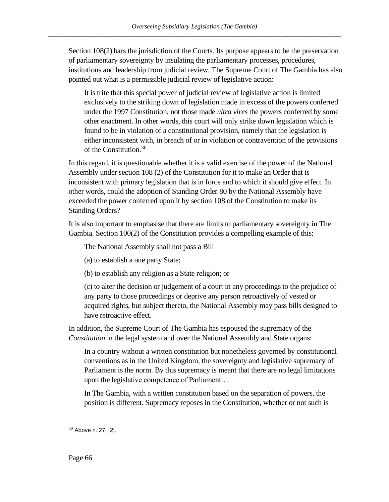Section 108(2) bars the jurisdiction of the Courts. Its purpose appears to be the preservation of parliamentary sovereignty by insulating the parliamentary processes, procedures, institutions and leadership from judicial review. The Supreme Court of The Gambia has also pointed out what is a permissible judicial review of legislative action:

It is trite that this special power of judicial review of legislative action is limited exclusively to the striking down of legislation made in excess of the powers conferred under the 1997 Constitution, not those made *ultra vires* the powers conferred by some other enactment. In other words, this court will only strike down legislation which is found to be in violation of a constitutional provision, namely that the legislation is either inconsistent with, in breach of or in violation or contravention of the provisions of the Constitution.<sup>30</sup>

In this regard, it is questionable whether it is a valid exercise of the power of the National Assembly under section 108 (2) of the Constitution for it to make an Order that is inconsistent with primary legislation that is in force and to which it should give effect. In other words, could the adoption of Standing Order 80 by the National Assembly have exceeded the power conferred upon it by section 108 of the Constitution to make its Standing Orders?

It is also important to emphasise that there are limits to parliamentary sovereignty in The Gambia. Section 100(2) of the Constitution provides a compelling example of this:

The National Assembly shall not pass a Bill –

(a) to establish a one party State;

(b) to establish any religion as a State religion; or

(c) to alter the decision or judgement of a court in any proceedings to the prejudice of any party to those proceedings or deprive any person retroactively of vested or acquired rights, but subject thereto, the National Assembly may pass bills designed to have retroactive effect.

In addition, the Supreme Court of The Gambia has espoused the supremacy of the *Constitution* in the legal system and over the National Assembly and State organs:

In a country without a written constitution but nonetheless governed by constitutional conventions as in the United Kingdom, the sovereignty and legislative supremacy of Parliament is the norm. By this supremacy is meant that there are no legal limitations upon the legislative competence of Parliament…

In The Gambia, with a written constitution based on the separation of powers, the position is different. Supremacy reposes in the Constitution, whether or not such is

<sup>30</sup> Above n. [27,](#page-68-1) [2].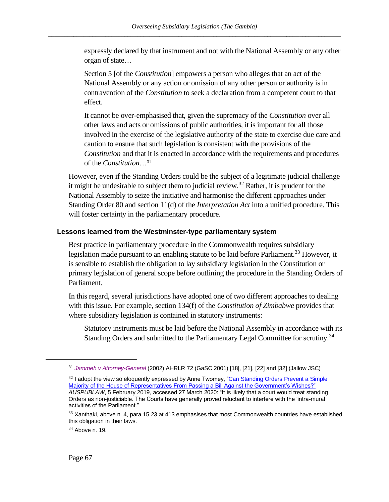expressly declared by that instrument and not with the National Assembly or any other organ of state…

Section 5 [of the *Constitution*] empowers a person who alleges that an act of the National Assembly or any action or omission of any other person or authority is in contravention of the *Constitution* to seek a declaration from a competent court to that effect.

It cannot be over-emphasised that, given the supremacy of the *Constitution* over all other laws and acts or omissions of public authorities, it is important for all those involved in the exercise of the legislative authority of the state to exercise due care and caution to ensure that such legislation is consistent with the provisions of the *Constitution* and that it is enacted in accordance with the requirements and procedures of the *Constitution*…<sup>31</sup>

However, even if the Standing Orders could be the subject of a legitimate judicial challenge it might be undesirable to subject them to judicial review.<sup>32</sup> Rather, it is prudent for the National Assembly to seize the initiative and harmonise the different approaches under Standing Order 80 and section 11(d) of the *Interpretation Act* into a unified procedure. This will foster certainty in the parliamentary procedure.

#### <span id="page-70-0"></span>**Lessons learned from the Westminster-type parliamentary system**

Best practice in parliamentary procedure in the Commonwealth requires subsidiary legislation made pursuant to an enabling statute to be laid before Parliament.<sup>33</sup> However, it is sensible to establish the obligation to lay subsidiary legislation in the Constitution or primary legislation of general scope before outlining the procedure in the Standing Orders of Parliament.

In this regard, several jurisdictions have adopted one of two different approaches to dealing with this issue. For example, section 134(f) of the *Constitution of Zimbabwe* provides that where subsidiary legislation is contained in statutory instruments:

Statutory instruments must be laid before the National Assembly in accordance with its Standing Orders and submitted to the Parliamentary Legal Committee for scrutiny.<sup>34</sup>

<sup>31</sup> *[Jammeh v Attorney-General](https://www.lawhubgambia.com/sc-1-2002)* (2002) AHRLR 72 (GaSC 2001) [18], [21], [22] and [32] (Jallow JSC)

 $32$  I adopt the view so eloquently expressed by Anne Twomey, "Can Standing Orders Prevent a Simple [Majority of the House of Representatives From Passing a Bill Against the Government's Wishes?"](https://auspublaw.org/2019/02/can-standing-orders-prevent-a-simple-majority/) *AUSPUBLAW*, 5 February 2019, accessed 27 March 2020: "It is likely that a court would treat standing Orders as non-justiciable. The Courts have generally proved reluctant to interfere with the 'intra-mural activities of the Parliament."

 $33$  Xanthaki, above n. [4,](#page-62-1) para 15.23 at 413 emphasises that most Commonwealth countries have established this obligation in their laws.

 $34$  Above n. [19.](#page-64-1)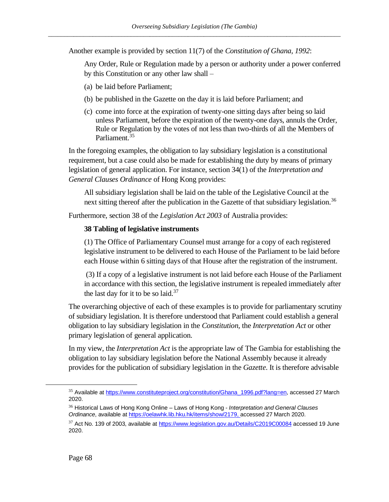Another example is provided by section 11(7) of the *Constitution of Ghana, 1992*:

Any Order, Rule or Regulation made by a person or authority under a power conferred by this Constitution or any other law shall –

- (a) be laid before Parliament;
- (b) be published in the Gazette on the day it is laid before Parliament; and
- (c) come into force at the expiration of twenty-one sitting days after being so laid unless Parliament, before the expiration of the twenty-one days, annuls the Order, Rule or Regulation by the votes of not less than two-thirds of all the Members of Parliament<sup>35</sup>

In the foregoing examples, the obligation to lay subsidiary legislation is a constitutional requirement, but a case could also be made for establishing the duty by means of primary legislation of general application. For instance, section 34(1) of the *Interpretation and General Clauses Ordinance* of Hong Kong provides:

All subsidiary legislation shall be laid on the table of the Legislative Council at the next sitting thereof after the publication in the Gazette of that subsidiary legislation.<sup>36</sup>

Furthermore, section 38 of the *Legislation Act 2003* of Australia provides:

# **38 Tabling of legislative instruments**

(1) The Office of Parliamentary Counsel must arrange for a copy of each registered legislative instrument to be delivered to each House of the Parliament to be laid before each House within 6 sitting days of that House after the registration of the instrument.

(3) If a copy of a legislative instrument is not laid before each House of the Parliament in accordance with this section, the legislative instrument is repealed immediately after the last day for it to be so laid. $37$ 

The overarching objective of each of these examples is to provide for parliamentary scrutiny of subsidiary legislation. It is therefore understood that Parliament could establish a general obligation to lay subsidiary legislation in the *Constitution*, the *Interpretation Act* or other primary legislation of general application.

In my view, the *Interpretation Act* is the appropriate law of The Gambia for establishing the obligation to lay subsidiary legislation before the National Assembly because it already provides for the publication of subsidiary legislation in the *Gazette*. It is therefore advisable

<sup>&</sup>lt;sup>35</sup> Available at [https://www.constituteproject.org/constitution/Ghana\\_1996.pdf?lang=en,](https://www.constituteproject.org/constitution/Ghana_1996.pdf?lang=en) accessed 27 March 2020.

<sup>36</sup> Historical Laws of Hong Kong Online – Laws of Hong Kong - *Interpretation and General Clauses Ordinance*, available a[t https://oelawhk.lib.hku.hk/items/show/2179,](https://oelawhk.lib.hku.hk/items/show/2179) accessed 27 March 2020.

 $37$  Act No. 139 of 2003, available a[t https://www.legislation.gov.au/Details/C2019C00084](https://www.legislation.gov.au/Details/C2019C00084) accessed 19 June 2020.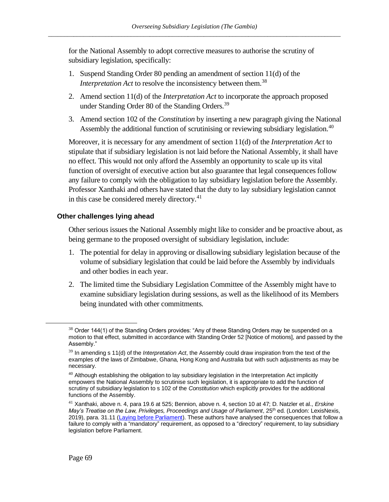for the National Assembly to adopt corrective measures to authorise the scrutiny of subsidiary legislation, specifically:

- 1. Suspend Standing Order 80 pending an amendment of section 11(d) of the *Interpretation Act* to resolve the inconsistency between them.<sup>38</sup>
- 2. Amend section 11(d) of the *Interpretation Act* to incorporate the approach proposed under Standing Order 80 of the Standing Orders.<sup>39</sup>
- 3. Amend section 102 of the *Constitution* by inserting a new paragraph giving the National Assembly the additional function of scrutinising or reviewing subsidiary legislation.<sup>40</sup>

Moreover, it is necessary for any amendment of section 11(d) of the *Interpretation Act* to stipulate that if subsidiary legislation is not laid before the National Assembly, it shall have no effect. This would not only afford the Assembly an opportunity to scale up its vital function of oversight of executive action but also guarantee that legal consequences follow any failure to comply with the obligation to lay subsidiary legislation before the Assembly. Professor Xanthaki and others have stated that the duty to lay subsidiary legislation cannot in this case be considered merely directory.<sup>41</sup>

## **Other challenges lying ahead**

Other serious issues the National Assembly might like to consider and be proactive about, as being germane to the proposed oversight of subsidiary legislation, include:

- 1. The potential for delay in approving or disallowing subsidiary legislation because of the volume of subsidiary legislation that could be laid before the Assembly by individuals and other bodies in each year.
- 2. The limited time the Subsidiary Legislation Committee of the Assembly might have to examine subsidiary legislation during sessions, as well as the likelihood of its Members being inundated with other commitments.

 $38$  Order 144(1) of the Standing Orders provides: "Any of these Standing Orders may be suspended on a motion to that effect, submitted in accordance with Standing Order 52 [Notice of motions], and passed by the Assembly."

<sup>39</sup> In amending s 11(d) of the *Interpretation Act*, the Assembly could draw inspiration from the text of the examples of the laws of Zimbabwe, Ghana, Hong Kong and Australia but with such adjustments as may be necessary.

 $40$  Although establishing the obligation to lay subsidiary legislation in the Interpretation Act implicitly empowers the National Assembly to scrutinise such legislation, it is appropriate to add the function of scrutiny of subsidiary legislation to s 102 of the *Constitution* which explicitly provides for the additional functions of the Assembly.

<sup>41</sup> Xanthaki, above n. [4,](#page-62-0) para 19.6 at 525; Bennion, above n[. 4,](#page-62-0) section 10 at 47; D. Natzler et al., *Erskine*  May's Treatise on the Law, Privileges, Proceedings and Usage of Parliament, 25<sup>th</sup> ed. (London: LexisNexis, 2019), para. 31.11 [\(Laying before Parliament\)](https://erskinemay.parliament.uk/section/5623/laying-before-parliament/). These authors have analysed the consequences that follow a failure to comply with a "mandatory" requirement, as opposed to a "directory" requirement, to lay subsidiary legislation before Parliament.